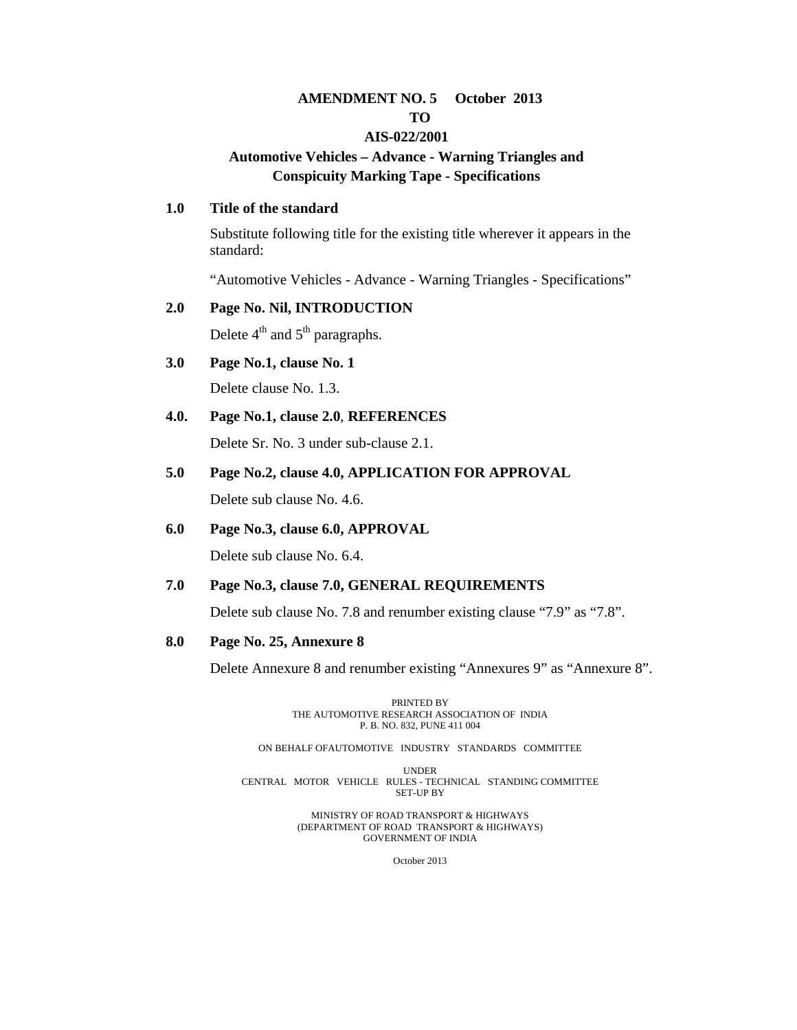#### **AMENDMENT NO. 5 October 2013 TO**

#### **AIS-022/2001**

## **Automotive Vehicles – Advance - Warning Triangles and Conspicuity Marking Tape - Specifications**

#### **1.0 Title of the standard**

Substitute following title for the existing title wherever it appears in the standard:

"Automotive Vehicles - Advance - Warning Triangles - Specifications"

#### **2.0 Page No. Nil, INTRODUCTION**

Delete  $4<sup>th</sup>$  and  $5<sup>th</sup>$  paragraphs.

- **3.0 Page No.1, clause No. 1**  Delete clause No. 1.3.
- **4.0. Page No.1, clause 2.0**, **REFERENCES**

Delete Sr. No. 3 under sub-clause 2.1.

**5.0 Page No.2, clause 4.0, APPLICATION FOR APPROVAL**

Delete sub clause No. 4.6.

**6.0 Page No.3, clause 6.0, APPROVAL**

Delete sub clause No. 6.4.

#### **7.0 Page No.3, clause 7.0, GENERAL REQUIREMENTS**

Delete sub clause No. 7.8 and renumber existing clause "7.9" as "7.8".

**8.0 Page No. 25, Annexure 8** 

Delete Annexure 8 and renumber existing "Annexures 9" as "Annexure 8".

PRINTED BY THE AUTOMOTIVE RESEARCH ASSOCIATION OF INDIA P. B. NO. 832, PUNE 411 004

ON BEHALF OFAUTOMOTIVE INDUSTRY STANDARDS COMMITTEE

UNDER CENTRAL MOTOR VEHICLE RULES - TECHNICAL STANDING COMMITTEE SET-UP BY

> MINISTRY OF ROAD TRANSPORT & HIGHWAYS (DEPARTMENT OF ROAD TRANSPORT & HIGHWAYS) GOVERNMENT OF INDIA

> > October 2013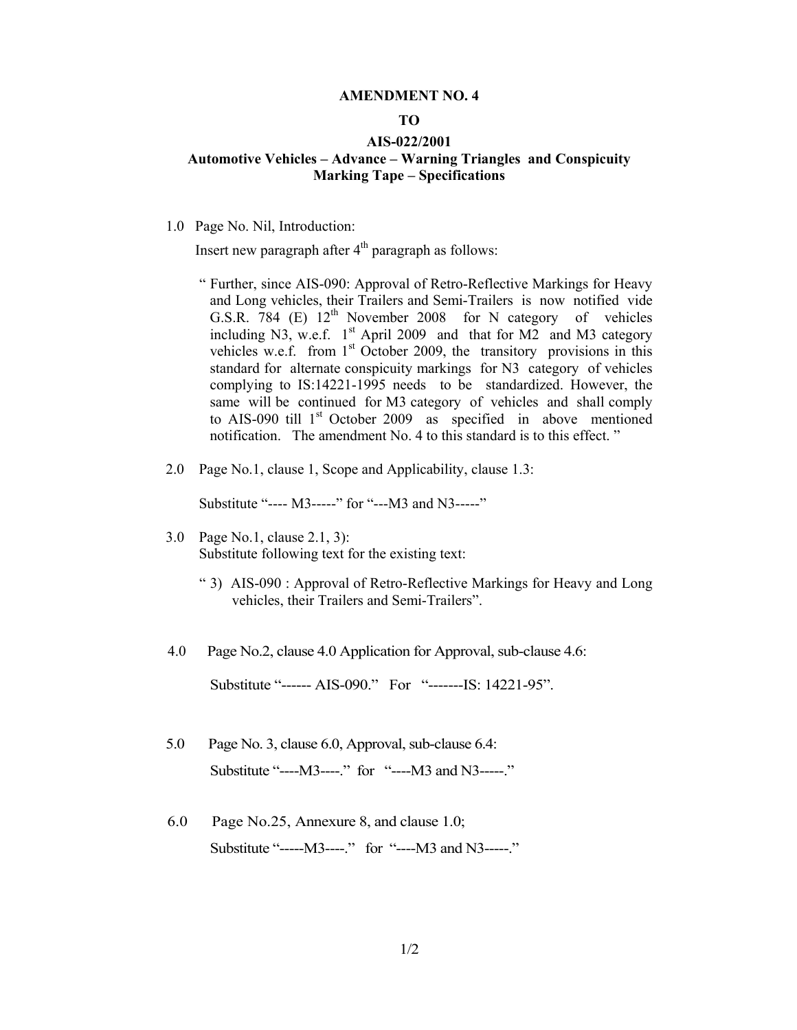#### **AMENDMENT NO. 4**

#### **TO**

#### **AIS-022/2001**

#### **Automotive Vehicles – Advance – Warning Triangles and Conspicuity Marking Tape – Specifications**

1.0 Page No. Nil, Introduction:

Insert new paragraph after  $4<sup>th</sup>$  paragraph as follows:

- " Further, since AIS-090: Approval of Retro-Reflective Markings for Heavy and Long vehicles, their Trailers and Semi-Trailers is now notified vide G.S.R.  $784$  (E)  $12<sup>th</sup>$  November 2008 for N category of vehicles including N3, w.e.f.  $1<sup>st</sup>$  April 2009 and that for M2 and M3 category vehicles w.e.f. from  $1<sup>st</sup>$  October 2009, the transitory provisions in this standard for alternate conspicuity markings for N3 category of vehicles complying to IS:14221-1995 needs to be standardized. However, the same will be continued for M3 category of vehicles and shall comply to AIS-090 till 1<sup>st</sup> October 2009 as specified in above mentioned notification. The amendment No. 4 to this standard is to this effect. "
- 2.0 Page No.1, clause 1, Scope and Applicability, clause 1.3:

Substitute "---- M3-----" for "---M3 and N3-----"

- 3.0 Page No.1, clause 2.1, 3): Substitute following text for the existing text:
	- " 3) AIS-090 : Approval of Retro-Reflective Markings for Heavy and Long vehicles, their Trailers and Semi-Trailers".
- 4.0 Page No.2, clause 4.0 Application for Approval, sub-clause 4.6:

Substitute "------ AIS-090." For "-------IS: 14221-95".

- 5.0 Page No. 3, clause 6.0, Approval, sub-clause 6.4: Substitute "----M3----." for "----M3 and N3-----."
- 6.0 Page No.25, Annexure 8, and clause 1.0; Substitute "-----M3----." for "----M3 and N3-----."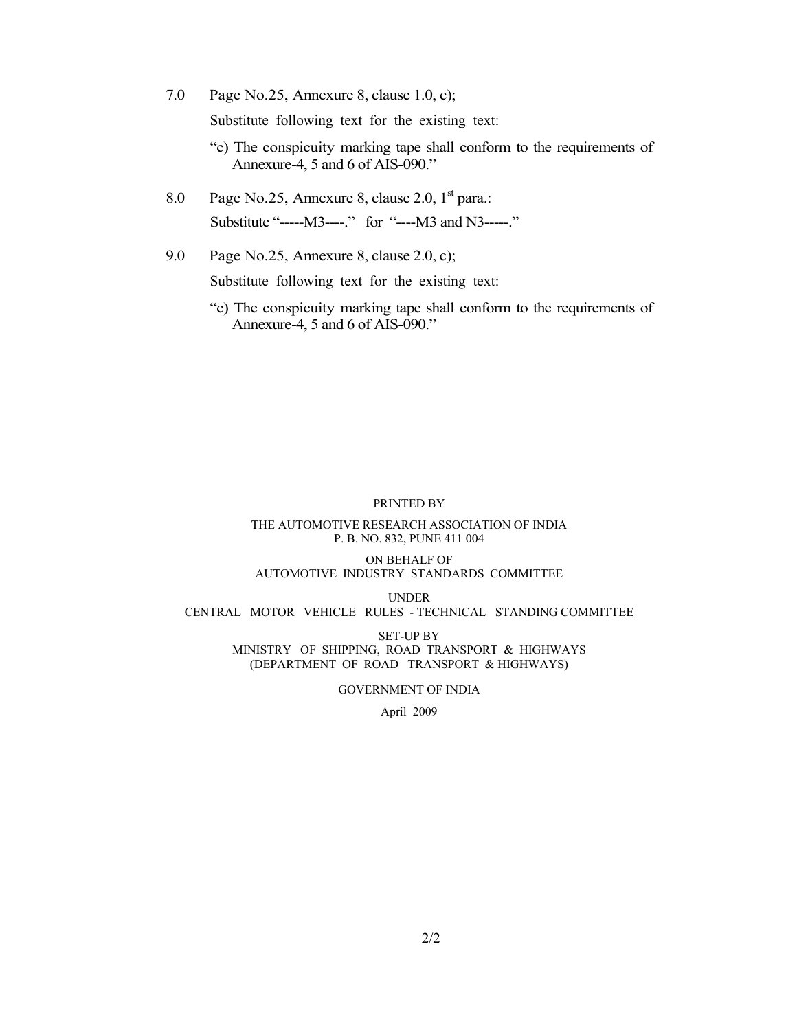7.0 Page No.25, Annexure 8, clause 1.0, c);

Substitute following text for the existing text:

- "c) The conspicuity marking tape shall conform to the requirements of Annexure-4, 5 and 6 of AIS-090."
- 8.0 Page No.25, Annexure 8, clause 2.0,  $1<sup>st</sup>$  para.: Substitute "-----M3----." for "----M3 and N3-----."
- 9.0 Page No.25, Annexure 8, clause 2.0, c);

Substitute following text for the existing text:

"c) The conspicuity marking tape shall conform to the requirements of Annexure-4, 5 and 6 of AIS-090."

#### PRINTED BY

#### THE AUTOMOTIVE RESEARCH ASSOCIATION OF INDIA P. B. NO. 832, PUNE 411 004

#### ON BEHALF OF AUTOMOTIVE INDUSTRY STANDARDS COMMITTEE

UNDER CENTRAL MOTOR VEHICLE RULES - TECHNICAL STANDING COMMITTEE

SET-UP BY MINISTRY OF SHIPPING, ROAD TRANSPORT & HIGHWAYS (DEPARTMENT OF ROAD TRANSPORT & HIGHWAYS)

GOVERNMENT OF INDIA

April 2009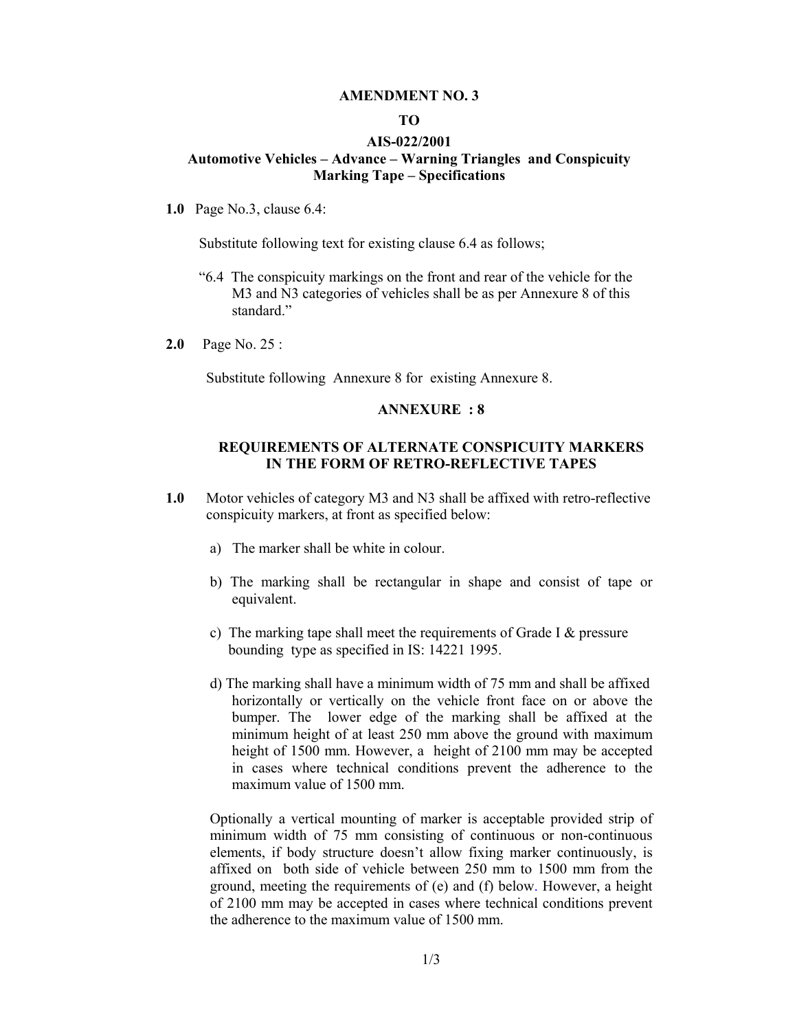#### **AMENDMENT NO. 3**

#### **TO**

#### **AIS-022/2001**

#### **Automotive Vehicles – Advance – Warning Triangles and Conspicuity Marking Tape – Specifications**

**1.0** Page No.3, clause 6.4:

Substitute following text for existing clause 6.4 as follows;

- "6.4 The conspicuity markings on the front and rear of the vehicle for the M3 and N3 categories of vehicles shall be as per Annexure 8 of this standard<sup>"</sup>
- **2.0** Page No. 25 :

Substitute following Annexure 8 for existing Annexure 8.

#### **ANNEXURE : 8**

#### **REQUIREMENTS OF ALTERNATE CONSPICUITY MARKERS IN THE FORM OF RETRO-REFLECTIVE TAPES**

- **1.0** Motor vehicles of category M3 and N3 shall be affixed with retro-reflective conspicuity markers, at front as specified below:
	- a) The marker shall be white in colour.
	- b) The marking shall be rectangular in shape and consist of tape or equivalent.
	- c) The marking tape shall meet the requirements of Grade I  $\&$  pressure bounding type as specified in IS: 14221 1995.
	- d) The marking shall have a minimum width of 75 mm and shall be affixed horizontally or vertically on the vehicle front face on or above the bumper. The lower edge of the marking shall be affixed at the minimum height of at least 250 mm above the ground with maximum height of 1500 mm. However, a height of 2100 mm may be accepted in cases where technical conditions prevent the adherence to the maximum value of 1500 mm.

Optionally a vertical mounting of marker is acceptable provided strip of minimum width of 75 mm consisting of continuous or non-continuous elements, if body structure doesn't allow fixing marker continuously, is affixed on both side of vehicle between 250 mm to 1500 mm from the ground, meeting the requirements of (e) and (f) below. However, a height of 2100 mm may be accepted in cases where technical conditions prevent the adherence to the maximum value of 1500 mm.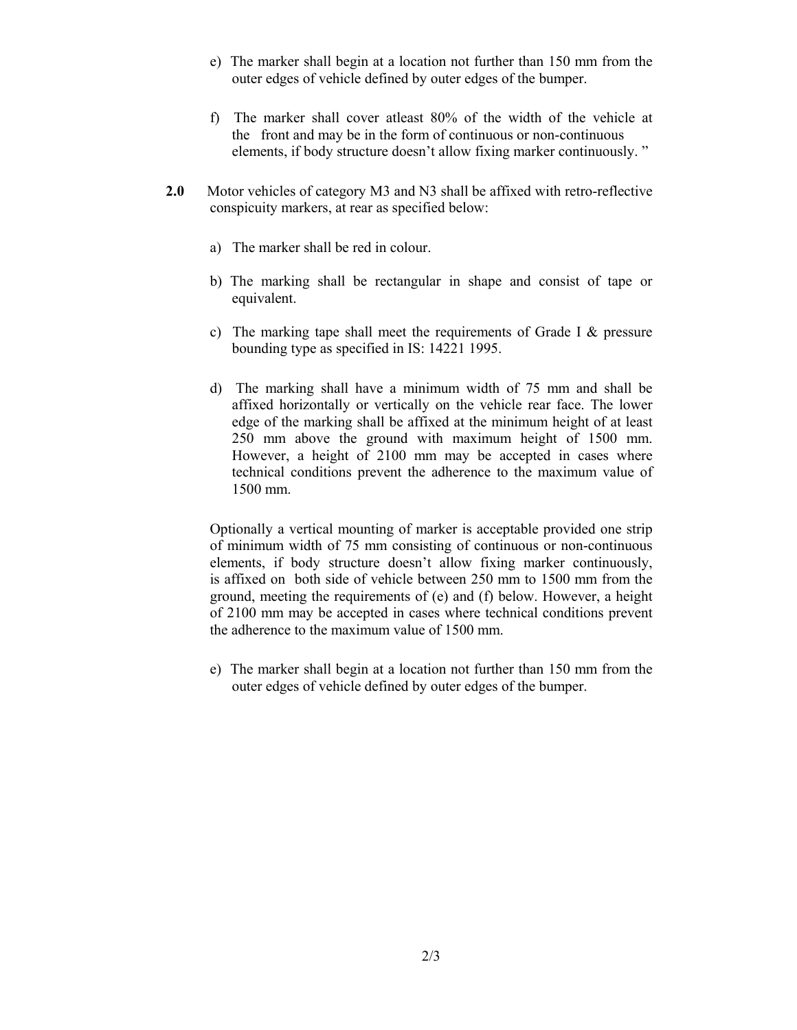- e) The marker shall begin at a location not further than 150 mm from the outer edges of vehicle defined by outer edges of the bumper.
- f) The marker shall cover atleast 80% of the width of the vehicle at the front and may be in the form of continuous or non-continuous elements, if body structure doesn't allow fixing marker continuously. "
- **2.0** Motor vehicles of category M3 and N3 shall be affixed with retro-reflective conspicuity markers, at rear as specified below:
	- a) The marker shall be red in colour.
	- b) The marking shall be rectangular in shape and consist of tape or equivalent.
	- c) The marking tape shall meet the requirements of Grade I  $\&$  pressure bounding type as specified in IS: 14221 1995.
	- d) The marking shall have a minimum width of 75 mm and shall be affixed horizontally or vertically on the vehicle rear face. The lower edge of the marking shall be affixed at the minimum height of at least 250 mm above the ground with maximum height of 1500 mm. However, a height of 2100 mm may be accepted in cases where technical conditions prevent the adherence to the maximum value of 1500 mm.

Optionally a vertical mounting of marker is acceptable provided one strip of minimum width of 75 mm consisting of continuous or non-continuous elements, if body structure doesn't allow fixing marker continuously, is affixed on both side of vehicle between 250 mm to 1500 mm from the ground, meeting the requirements of (e) and (f) below. However, a height of 2100 mm may be accepted in cases where technical conditions prevent the adherence to the maximum value of 1500 mm.

e) The marker shall begin at a location not further than 150 mm from the outer edges of vehicle defined by outer edges of the bumper.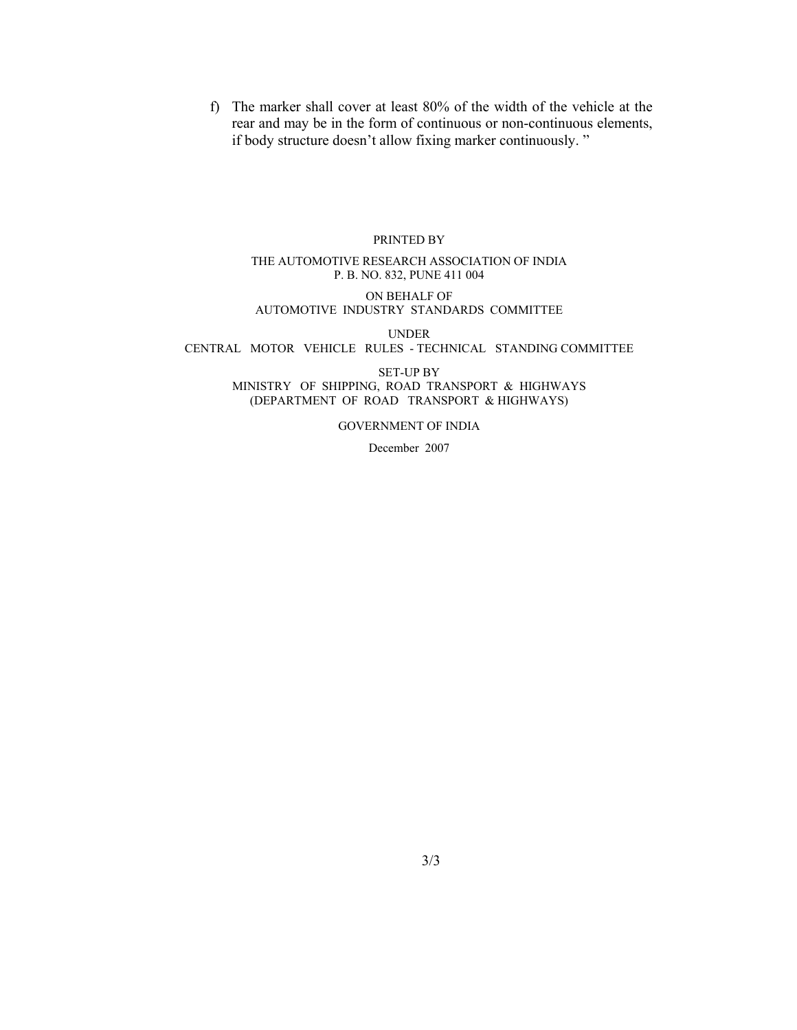f) The marker shall cover at least 80% of the width of the vehicle at the rear and may be in the form of continuous or non-continuous elements, if body structure doesn't allow fixing marker continuously. "

#### PRINTED BY

#### THE AUTOMOTIVE RESEARCH ASSOCIATION OF INDIA P. B. NO. 832, PUNE 411 004

ON BEHALF OF AUTOMOTIVE INDUSTRY STANDARDS COMMITTEE

UNDER

CENTRAL MOTOR VEHICLE RULES - TECHNICAL STANDING COMMITTEE

SET-UP BY MINISTRY OF SHIPPING, ROAD TRANSPORT & HIGHWAYS (DEPARTMENT OF ROAD TRANSPORT & HIGHWAYS)

GOVERNMENT OF INDIA

December 2007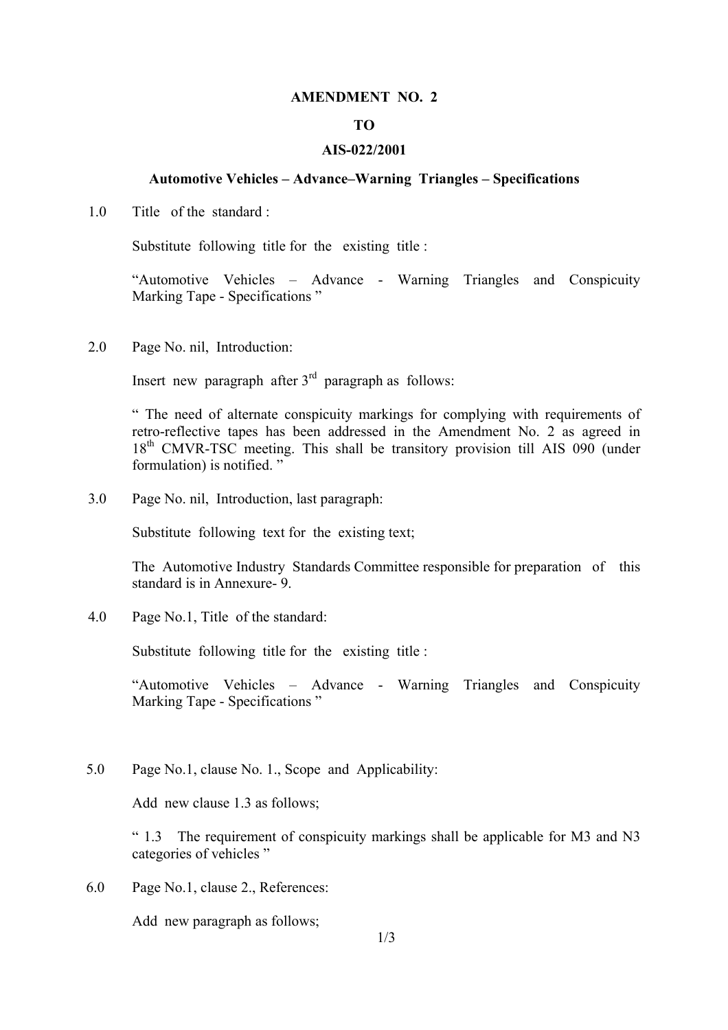#### **AMENDMENT NO. 2**

#### **TO**

#### **AIS-022/2001**

#### **Automotive Vehicles – Advance–Warning Triangles – Specifications**

1.0 Title of the standard :

Substitute following title for the existing title :

"Automotive Vehicles – Advance - Warning Triangles and Conspicuity Marking Tape - Specifications "

2.0 Page No. nil, Introduction:

Insert new paragraph after  $3<sup>rd</sup>$  paragraph as follows:

" The need of alternate conspicuity markings for complying with requirements of retro-reflective tapes has been addressed in the Amendment No. 2 as agreed in 18<sup>th</sup> CMVR-TSC meeting. This shall be transitory provision till AIS 090 (under formulation) is notified. "

3.0 Page No. nil, Introduction, last paragraph:

Substitute following text for the existing text;

The Automotive Industry Standards Committee responsible for preparation of this standard is in Annexure- 9.

4.0 Page No.1, Title of the standard:

Substitute following title for the existing title :

"Automotive Vehicles – Advance - Warning Triangles and Conspicuity Marking Tape - Specifications "

5.0 Page No.1, clause No. 1., Scope and Applicability:

Add new clause 1.3 as follows;

 $\degree$  1.3 The requirement of conspicuity markings shall be applicable for M3 and N3 categories of vehicles "

6.0 Page No.1, clause 2., References:

Add new paragraph as follows;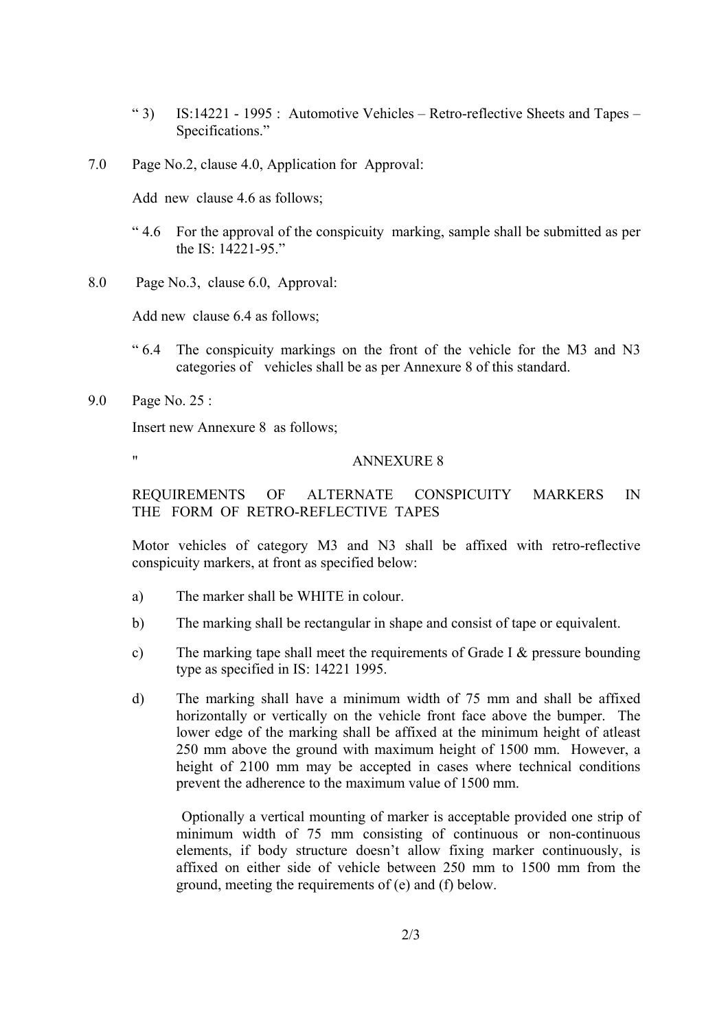- " 3) IS:14221 1995 : Automotive Vehicles Retro-reflective Sheets and Tapes Specifications."
- 7.0 Page No.2, clause 4.0, Application for Approval:

Add new clause 4.6 as follows;

- " 4.6 For the approval of the conspicuity marking, sample shall be submitted as per the IS: 14221-95."
- 8.0 Page No.3, clause 6.0, Approval:

Add new clause 6.4 as follows;

- " 6.4 The conspicuity markings on the front of the vehicle for the M3 and N3 categories of vehicles shall be as per Annexure 8 of this standard.
- 9.0 Page No. 25 :

Insert new Annexure 8 as follows;

## " ANNEXURE 8

REQUIREMENTS OF ALTERNATE CONSPICUITY MARKERS IN THE FORM OF RETRO-REFLECTIVE TAPES

Motor vehicles of category M3 and N3 shall be affixed with retro-reflective conspicuity markers, at front as specified below:

- a) The marker shall be WHITE in colour.
- b) The marking shall be rectangular in shape and consist of tape or equivalent.
- c) The marking tape shall meet the requirements of Grade I & pressure bounding type as specified in IS: 14221 1995.
- d) The marking shall have a minimum width of 75 mm and shall be affixed horizontally or vertically on the vehicle front face above the bumper. The lower edge of the marking shall be affixed at the minimum height of atleast 250 mm above the ground with maximum height of 1500 mm. However, a height of 2100 mm may be accepted in cases where technical conditions prevent the adherence to the maximum value of 1500 mm.

Optionally a vertical mounting of marker is acceptable provided one strip of minimum width of 75 mm consisting of continuous or non-continuous elements, if body structure doesn't allow fixing marker continuously, is affixed on either side of vehicle between 250 mm to 1500 mm from the ground, meeting the requirements of (e) and (f) below.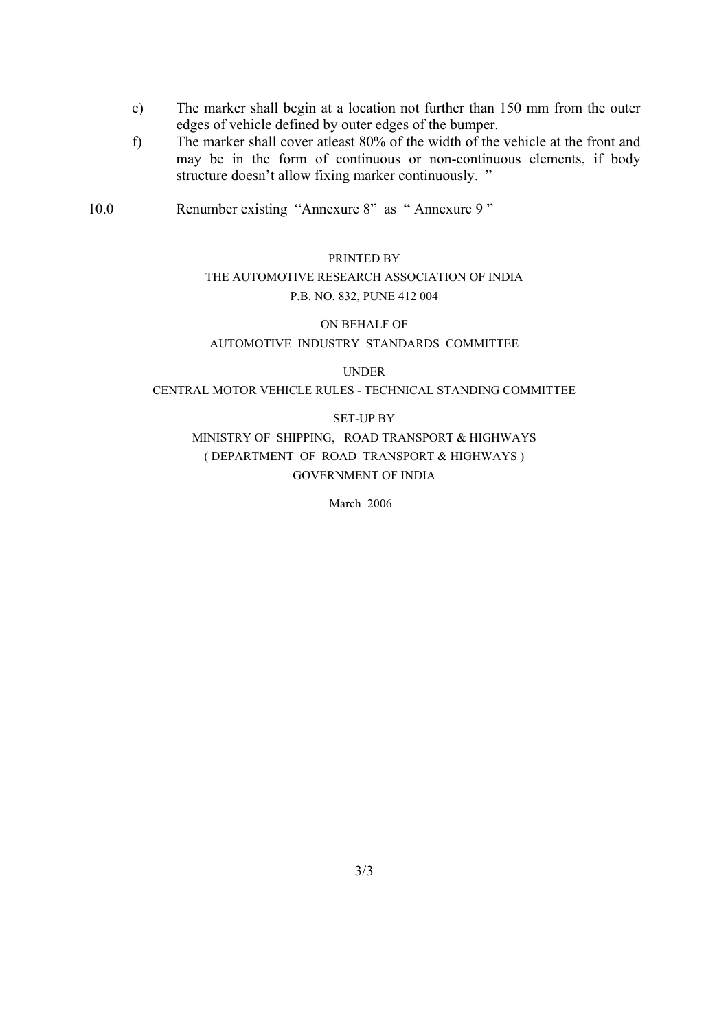- e) The marker shall begin at a location not further than 150 mm from the outer edges of vehicle defined by outer edges of the bumper.
- f) The marker shall cover atleast 80% of the width of the vehicle at the front and may be in the form of continuous or non-continuous elements, if body structure doesn't allow fixing marker continuously. "
- 10.0 Renumber existing "Annexure 8" as " Annexure 9 "

# PRINTED BY THE AUTOMOTIVE RESEARCH ASSOCIATION OF INDIA

## P.B. NO. 832, PUNE 412 004

## ON BEHALF OF AUTOMOTIVE INDUSTRY STANDARDS COMMITTEE

UNDER

#### CENTRAL MOTOR VEHICLE RULES - TECHNICAL STANDING COMMITTEE

#### SET-UP BY

## MINISTRY OF SHIPPING, ROAD TRANSPORT & HIGHWAYS ( DEPARTMENT OF ROAD TRANSPORT & HIGHWAYS ) GOVERNMENT OF INDIA

March 2006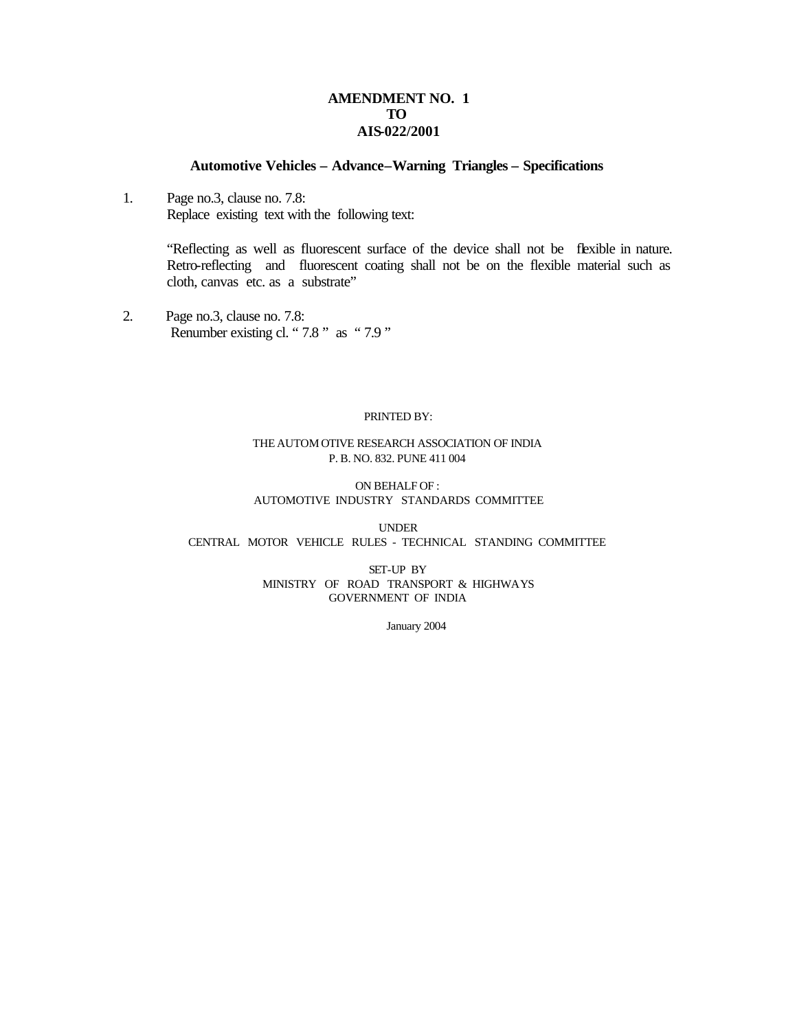#### **AMENDMENT NO. 1 TO AIS-022/2001**

#### **Automotive Vehicles – Advance–Warning Triangles – Specifications**

1. Page no.3, clause no. 7.8: Replace existing text with the following text:

> "Reflecting as well as fluorescent surface of the device shall not be flexible in nature. Retro-reflecting and fluorescent coating shall not be on the flexible material such as cloth, canvas etc. as a substrate"

2. Page no.3, clause no. 7.8: Renumber existing cl. "7.8" as "7.9"

#### PRINTED BY:

#### THE AUTOM OTIVE RESEARCH ASSOCIATION OF INDIA P. B. NO. 832. PUNE 411 004

#### ON BEHALF OF : AUTOMOTIVE INDUSTRY STANDARDS COMMITTEE

UNDER CENTRAL MOTOR VEHICLE RULES - TECHNICAL STANDING COMMITTEE

> SET-UP BY MINISTRY OF ROAD TRANSPORT & HIGHWAYS GOVERNMENT OF INDIA

> > January 2004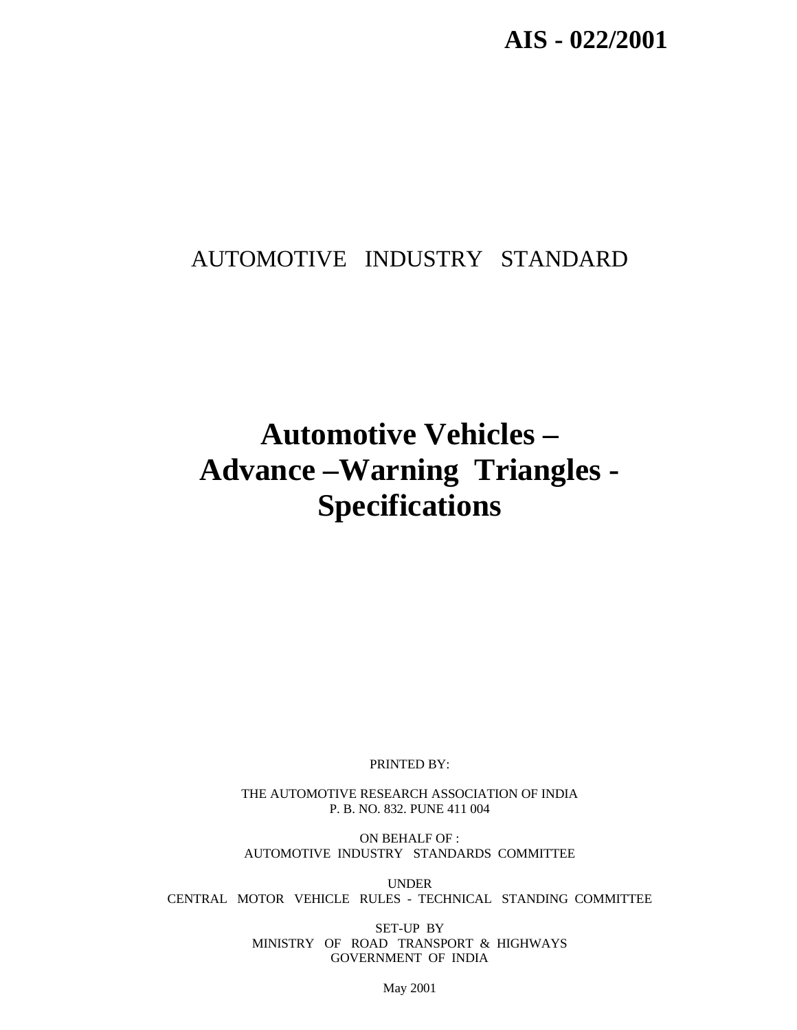# AUTOMOTIVE INDUSTRY STANDARD

# **Automotive Vehicles – Advance –Warning Triangles - Specifications**

PRINTED BY:

THE AUTOMOTIVE RESEARCH ASSOCIATION OF INDIA P. B. NO. 832. PUNE 411 004

ON BEHALF OF : AUTOMOTIVE INDUSTRY STANDARDS COMMITTEE

UNDER CENTRAL MOTOR VEHICLE RULES - TECHNICAL STANDING COMMITTEE

> SET-UP BY MINISTRY OF ROAD TRANSPORT & HIGHWAYS GOVERNMENT OF INDIA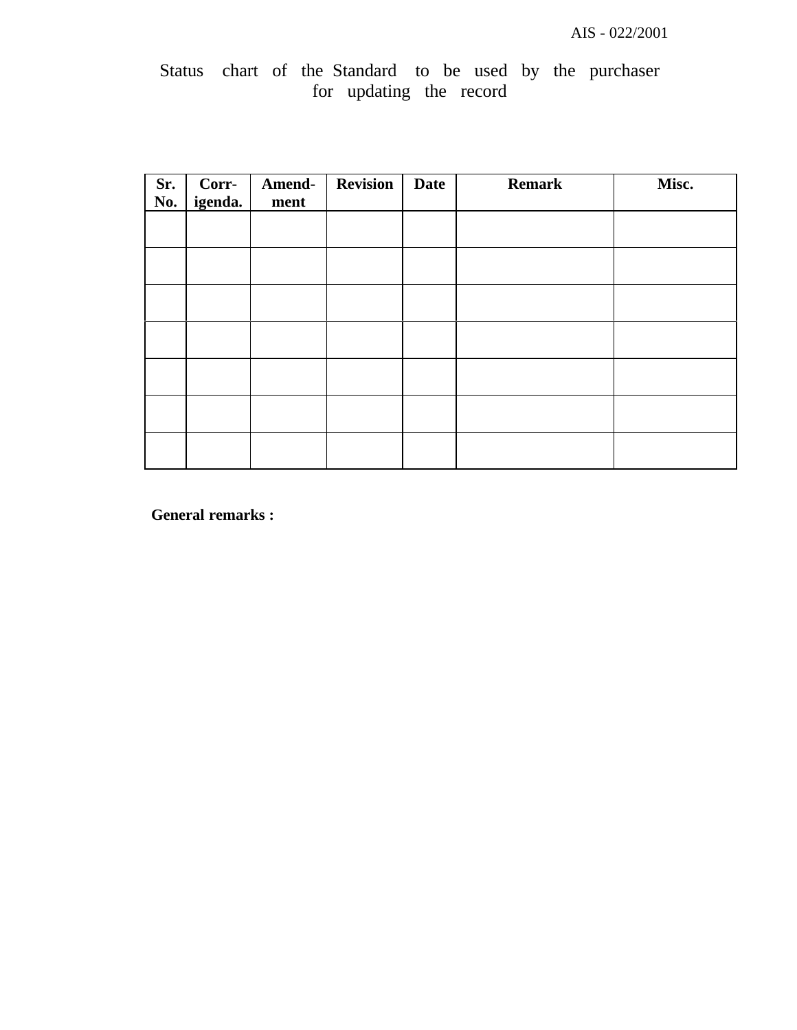# Status chart of the Standard to be used by the purchaser for updating the record

| Sr.<br>No. | Corr-<br>igenda. | Amend-<br>ment | <b>Revision</b> | <b>Date</b> | <b>Remark</b> | Misc. |
|------------|------------------|----------------|-----------------|-------------|---------------|-------|
|            |                  |                |                 |             |               |       |
|            |                  |                |                 |             |               |       |
|            |                  |                |                 |             |               |       |
|            |                  |                |                 |             |               |       |
|            |                  |                |                 |             |               |       |
|            |                  |                |                 |             |               |       |
|            |                  |                |                 |             |               |       |

**General remarks :**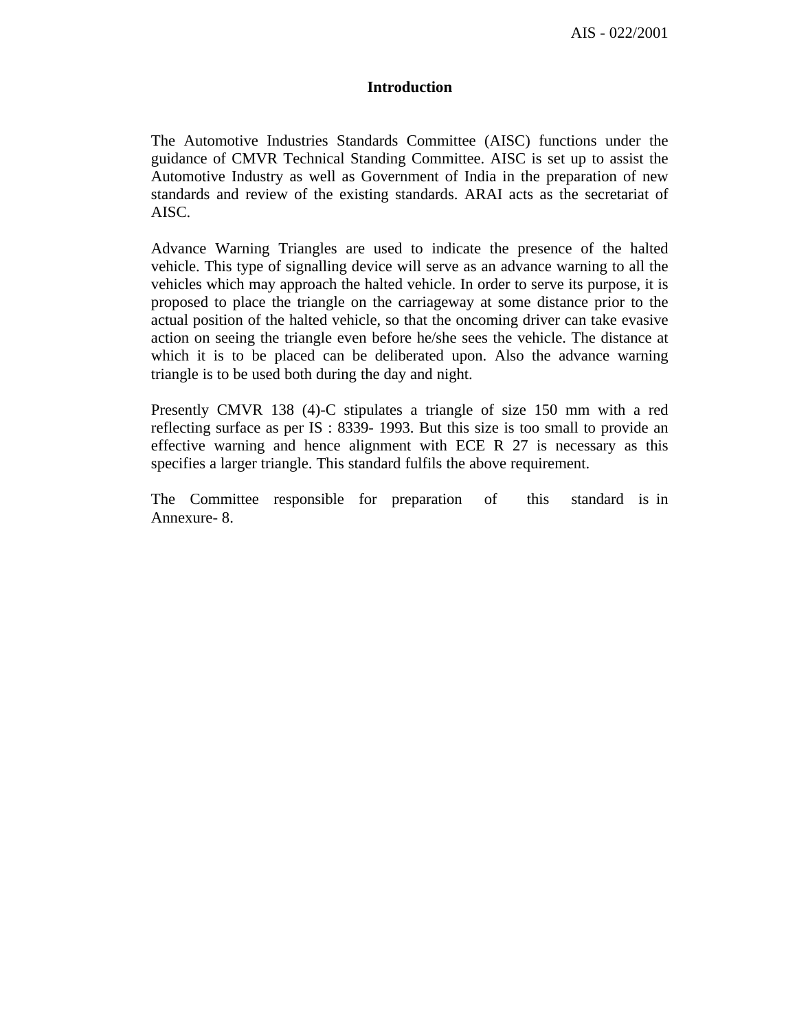#### **Introduction**

The Automotive Industries Standards Committee (AISC) functions under the guidance of CMVR Technical Standing Committee. AISC is set up to assist the Automotive Industry as well as Government of India in the preparation of new standards and review of the existing standards. ARAI acts as the secretariat of AISC.

Advance Warning Triangles are used to indicate the presence of the halted vehicle. This type of signalling device will serve as an advance warning to all the vehicles which may approach the halted vehicle. In order to serve its purpose, it is proposed to place the triangle on the carriageway at some distance prior to the actual position of the halted vehicle, so that the oncoming driver can take evasive action on seeing the triangle even before he/she sees the vehicle. The distance at which it is to be placed can be deliberated upon. Also the advance warning triangle is to be used both during the day and night.

Presently CMVR 138 (4)-C stipulates a triangle of size 150 mm with a red reflecting surface as per IS : 8339- 1993. But this size is too small to provide an effective warning and hence alignment with ECE R 27 is necessary as this specifies a larger triangle. This standard fulfils the above requirement.

The Committee responsible for preparation of this standard is in Annexure- 8.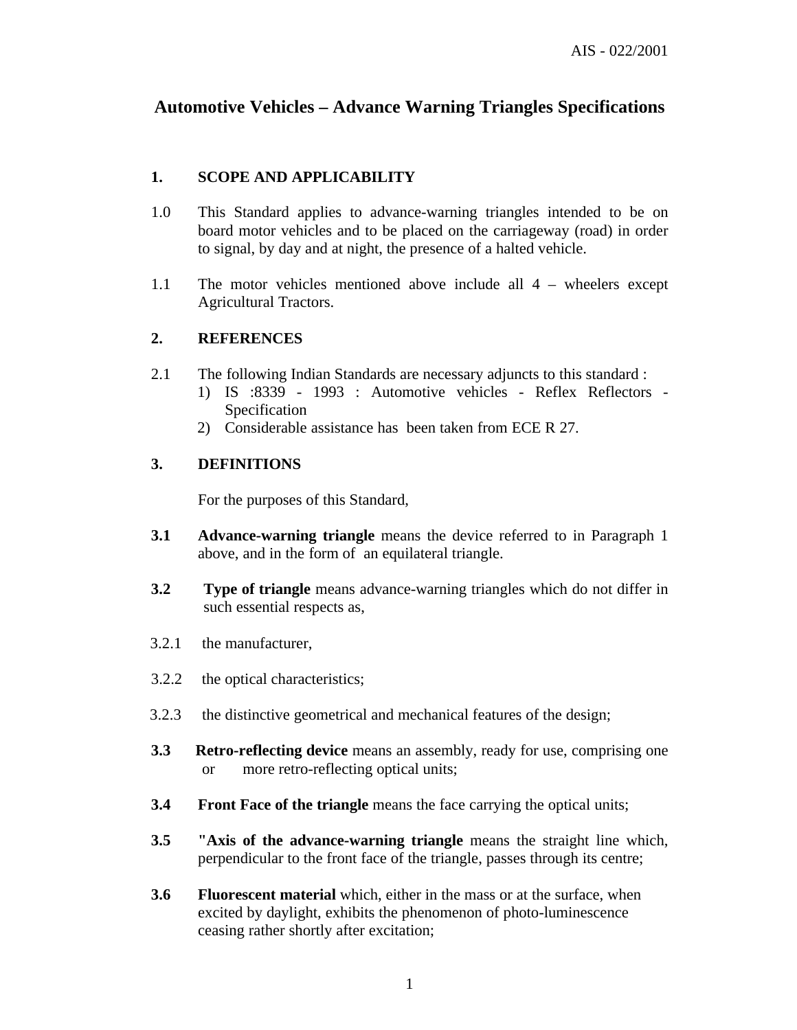## **Automotive Vehicles – Advance Warning Triangles Specifications**

## **1. SCOPE AND APPLICABILITY**

- 1.0 This Standard applies to advance-warning triangles intended to be on board motor vehicles and to be placed on the carriageway (road) in order to signal, by day and at night, the presence of a halted vehicle.
- 1.1 The motor vehicles mentioned above include all 4 wheelers except Agricultural Tractors.

## **2. REFERENCES**

- 2.1 The following Indian Standards are necessary adjuncts to this standard :
	- 1) IS :8339 1993 : Automotive vehicles Reflex Reflectors Specification
	- 2) Considerable assistance has been taken from ECE R 27.

## **3. DEFINITIONS**

For the purposes of this Standard,

- **3.1 Advance-warning triangle** means the device referred to in Paragraph 1 above, and in the form of an equilateral triangle.
- **3.2 Type of triangle** means advance-warning triangles which do not differ in such essential respects as,
- 3.2.1 the manufacturer,
- 3.2.2 the optical characteristics;
- 3.2.3 the distinctive geometrical and mechanical features of the design;
- **3.3 Retro-reflecting device** means an assembly, ready for use, comprising one or more retro-reflecting optical units;
- **3.4 Front Face of the triangle** means the face carrying the optical units;
- **3.5 "Axis of the advance-warning triangle** means the straight line which, perpendicular to the front face of the triangle, passes through its centre;
- **3.6 Fluorescent material** which, either in the mass or at the surface, when excited by daylight, exhibits the phenomenon of photo-luminescence ceasing rather shortly after excitation;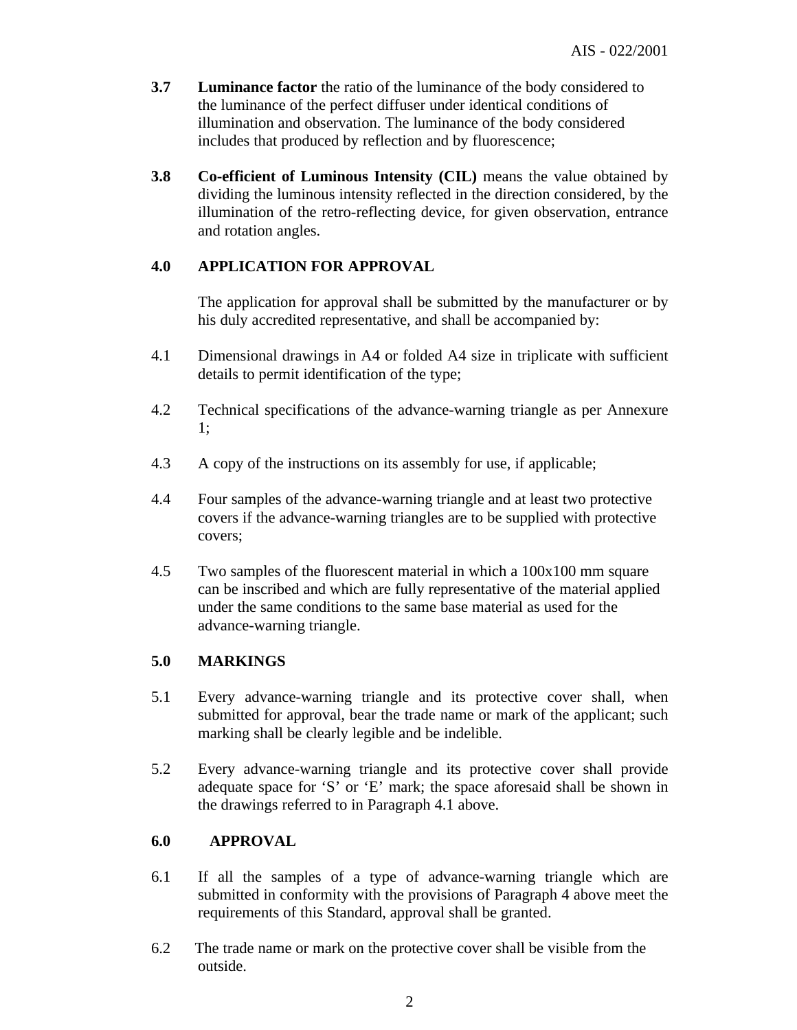- **3.7 Luminance factor** the ratio of the luminance of the body considered to the luminance of the perfect diffuser under identical conditions of illumination and observation. The luminance of the body considered includes that produced by reflection and by fluorescence;
- **3.8 Co-efficient of Luminous Intensity (CIL)** means the value obtained by dividing the luminous intensity reflected in the direction considered, by the illumination of the retro-reflecting device, for given observation, entrance and rotation angles.

## **4.0 APPLICATION FOR APPROVAL**

The application for approval shall be submitted by the manufacturer or by his duly accredited representative, and shall be accompanied by:

- 4.1 Dimensional drawings in A4 or folded A4 size in triplicate with sufficient details to permit identification of the type;
- 4.2 Technical specifications of the advance-warning triangle as per Annexure 1;
- 4.3 A copy of the instructions on its assembly for use, if applicable;
- 4.4 Four samples of the advance-warning triangle and at least two protective covers if the advance-warning triangles are to be supplied with protective covers;
- 4.5 Two samples of the fluorescent material in which a 100x100 mm square can be inscribed and which are fully representative of the material applied under the same conditions to the same base material as used for the advance-warning triangle.

## **5.0 MARKINGS**

- 5.1 Every advance-warning triangle and its protective cover shall, when submitted for approval, bear the trade name or mark of the applicant; such marking shall be clearly legible and be indelible.
- 5.2 Every advance-warning triangle and its protective cover shall provide adequate space for 'S' or 'E' mark; the space aforesaid shall be shown in the drawings referred to in Paragraph 4.1 above.

## **6.0 APPROVAL**

- 6.1 If all the samples of a type of advance-warning triangle which are submitted in conformity with the provisions of Paragraph 4 above meet the requirements of this Standard, approval shall be granted.
- 6.2 The trade name or mark on the protective cover shall be visible from the outside.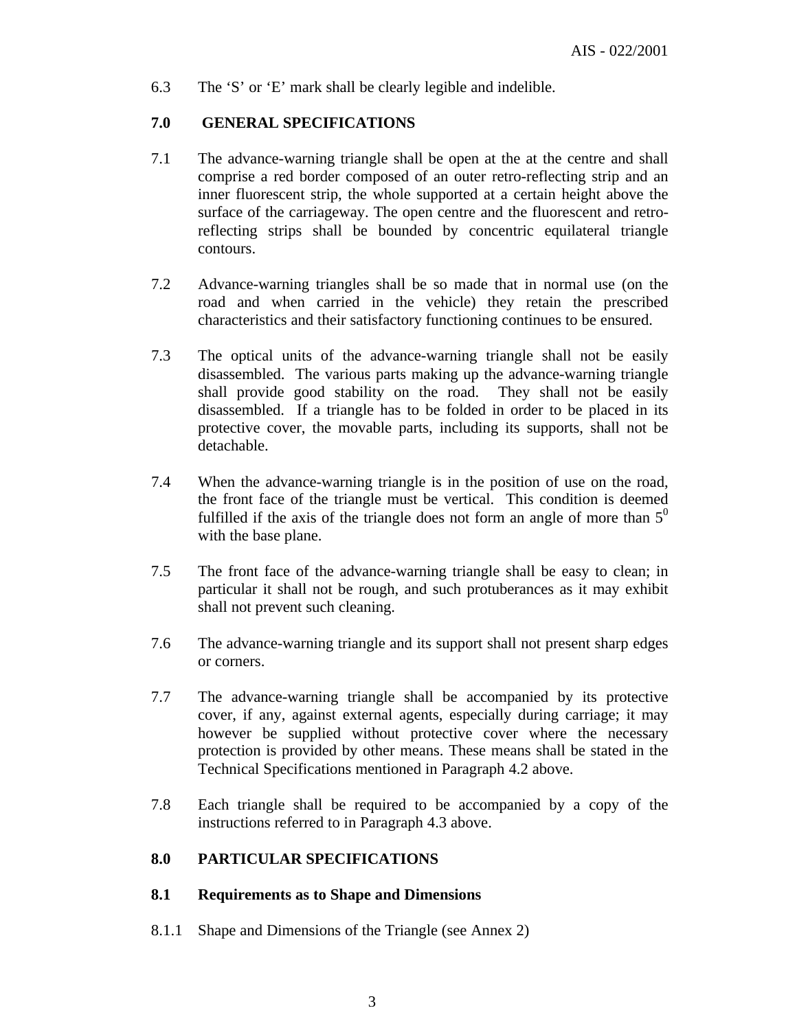6.3 The 'S' or 'E' mark shall be clearly legible and indelible.

## **7.0 GENERAL SPECIFICATIONS**

- 7.1 The advance-warning triangle shall be open at the at the centre and shall comprise a red border composed of an outer retro-reflecting strip and an inner fluorescent strip, the whole supported at a certain height above the surface of the carriageway. The open centre and the fluorescent and retroreflecting strips shall be bounded by concentric equilateral triangle contours.
- 7.2 Advance-warning triangles shall be so made that in normal use (on the road and when carried in the vehicle) they retain the prescribed characteristics and their satisfactory functioning continues to be ensured.
- 7.3 The optical units of the advance-warning triangle shall not be easily disassembled. The various parts making up the advance-warning triangle shall provide good stability on the road. They shall not be easily disassembled. If a triangle has to be folded in order to be placed in its protective cover, the movable parts, including its supports, shall not be detachable.
- 7.4 When the advance-warning triangle is in the position of use on the road, the front face of the triangle must be vertical. This condition is deemed fulfilled if the axis of the triangle does not form an angle of more than  $5<sup>0</sup>$ with the base plane.
- 7.5 The front face of the advance-warning triangle shall be easy to clean; in particular it shall not be rough, and such protuberances as it may exhibit shall not prevent such cleaning.
- 7.6 The advance-warning triangle and its support shall not present sharp edges or corners.
- 7.7 The advance-warning triangle shall be accompanied by its protective cover, if any, against external agents, especially during carriage; it may however be supplied without protective cover where the necessary protection is provided by other means. These means shall be stated in the Technical Specifications mentioned in Paragraph 4.2 above.
- 7.8 Each triangle shall be required to be accompanied by a copy of the instructions referred to in Paragraph 4.3 above.

#### **8.0 PARTICULAR SPECIFICATIONS**

#### **8.1 Requirements as to Shape and Dimensions**

8.1.1 Shape and Dimensions of the Triangle (see Annex 2)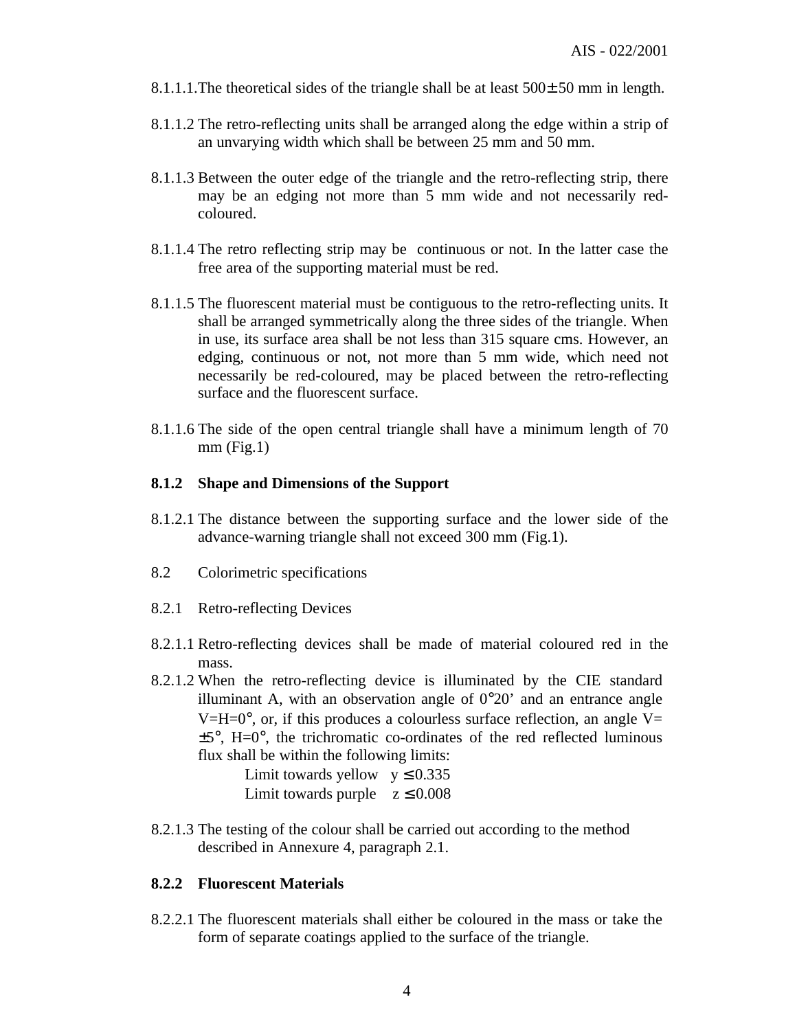- 8.1.1.1.The theoretical sides of the triangle shall be at least  $500±50$  mm in length.
- 8.1.1.2 The retro-reflecting units shall be arranged along the edge within a strip of an unvarying width which shall be between 25 mm and 50 mm.
- 8.1.1.3 Between the outer edge of the triangle and the retro-reflecting strip, there may be an edging not more than 5 mm wide and not necessarily redcoloured.
- 8.1.1.4 The retro reflecting strip may be continuous or not. In the latter case the free area of the supporting material must be red.
- 8.1.1.5 The fluorescent material must be contiguous to the retro-reflecting units. It shall be arranged symmetrically along the three sides of the triangle. When in use, its surface area shall be not less than 315 square cms. However, an edging, continuous or not, not more than 5 mm wide, which need not necessarily be red-coloured, may be placed between the retro-reflecting surface and the fluorescent surface.
- 8.1.1.6 The side of the open central triangle shall have a minimum length of 70  $mm$  (Fig.1)

#### **8.1.2 Shape and Dimensions of the Support**

- 8.1.2.1 The distance between the supporting surface and the lower side of the advance-warning triangle shall not exceed 300 mm (Fig.1).
- 8.2 Colorimetric specifications
- 8.2.1 Retro-reflecting Devices
- 8.2.1.1 Retro-reflecting devices shall be made of material coloured red in the mass.
- 8.2.1.2 When the retro-reflecting device is illuminated by the CIE standard illuminant A, with an observation angle of  $0^{\circ}20'$  and an entrance angle  $V=H=0^{\circ}$ , or, if this produces a colourless surface reflection, an angle V=  $\pm 5^{\circ}$ , H= $0^{\circ}$ , the trichromatic co-ordinates of the red reflected luminous flux shall be within the following limits:

Limit towards yellow  $y \le 0.335$ Limit towards purple  $z \le 0.008$ 

8.2.1.3 The testing of the colour shall be carried out according to the method described in Annexure 4, paragraph 2.1.

#### **8.2.2 Fluorescent Materials**

8.2.2.1 The fluorescent materials shall either be coloured in the mass or take the form of separate coatings applied to the surface of the triangle.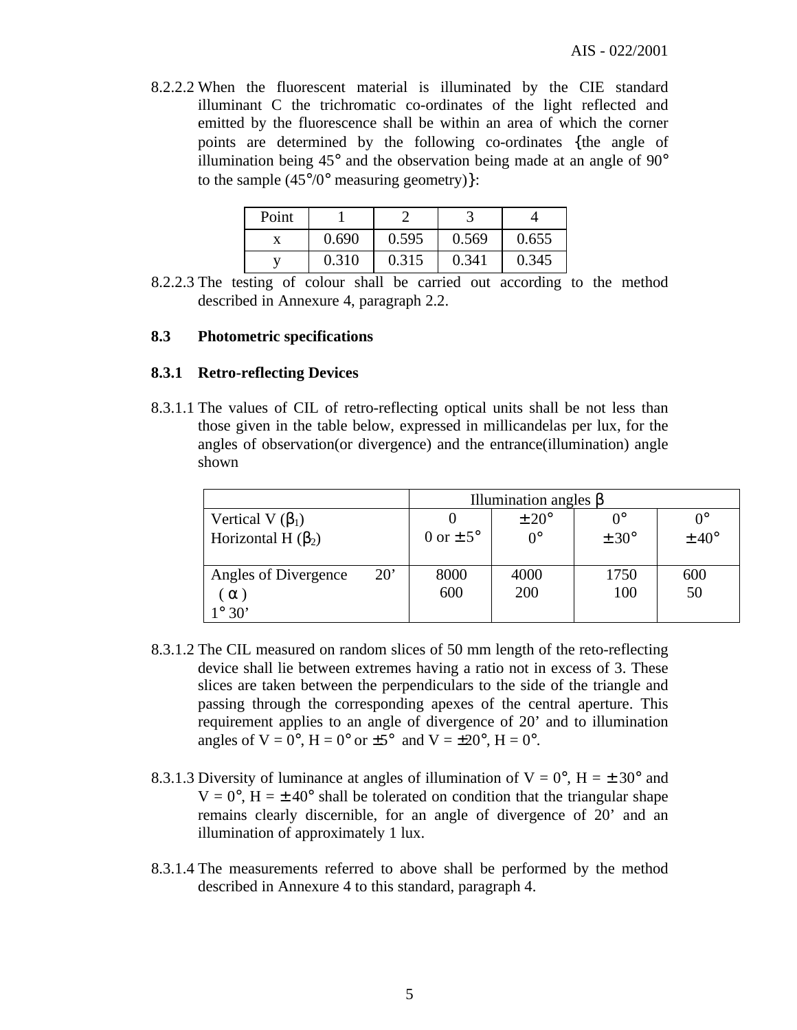8.2.2.2 When the fluorescent material is illuminated by the CIE standard illuminant C the trichromatic co-ordinates of the light reflected and emitted by the fluorescence shall be within an area of which the corner points are determined by the following co-ordinates {the angle of illumination being  $45^{\circ}$  and the observation being made at an angle of  $90^{\circ}$ to the sample  $(45^{\circ}/0^{\circ}$  measuring geometry)}:

| Point |       |       |       |       |
|-------|-------|-------|-------|-------|
|       | 0.690 | 0.595 | 0.569 | 0.655 |
|       | 0.310 | 0.315 | 0.341 | 0.345 |

8.2.2.3 The testing of colour shall be carried out according to the method described in Annexure 4, paragraph 2.2.

#### **8.3 Photometric specifications**

#### **8.3.1 Retro-reflecting Devices**

8.3.1.1 The values of CIL of retro-reflecting optical units shall be not less than those given in the table below, expressed in millicandelas per lux, for the angles of observation(or divergence) and the entrance(illumination) angle shown

|                                      |               | Illumination angles $\beta$ |                  |                  |
|--------------------------------------|---------------|-----------------------------|------------------|------------------|
| Vertical V $(\beta_1)$               |               | $\pm 20^{\circ}$            | $\Omega^{\circ}$ | $0^{\circ}$      |
| Horizontal H $(\beta_2)$             | 0 or $\pm$ 5° | $0^{\circ}$                 | $\pm 30^{\circ}$ | $\pm 40^{\circ}$ |
|                                      |               |                             |                  |                  |
| $20^{\circ}$<br>Angles of Divergence | 8000          | 4000                        | 1750             | 600              |
| $\alpha$                             | 600           | 200                         | 100              | 50               |
| $1^\circ$ 30'                        |               |                             |                  |                  |

- 8.3.1.2 The CIL measured on random slices of 50 mm length of the reto-reflecting device shall lie between extremes having a ratio not in excess of 3. These slices are taken between the perpendiculars to the side of the triangle and passing through the corresponding apexes of the central aperture. This requirement applies to an angle of divergence of 20' and to illumination angles of  $V = 0^\circ$ ,  $H = 0^\circ$  or  $\pm 5^\circ$  and  $V = \pm 20^\circ$ ,  $H = 0^\circ$ .
- 8.3.1.3 Diversity of luminance at angles of illumination of  $V = 0^\circ$ ,  $H = \pm 30^\circ$  and  $V = 0^\circ$ ,  $H = \pm 40^\circ$  shall be tolerated on condition that the triangular shape remains clearly discernible, for an angle of divergence of 20' and an illumination of approximately 1 lux.
- 8.3.1.4 The measurements referred to above shall be performed by the method described in Annexure 4 to this standard, paragraph 4.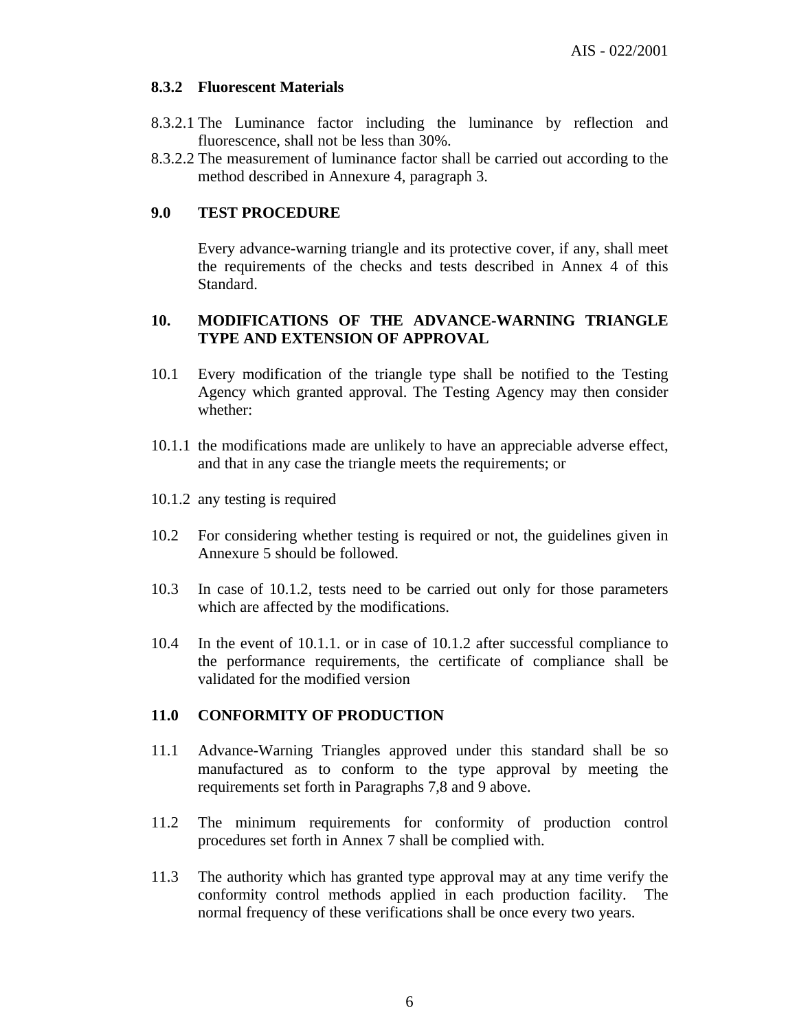## **8.3.2 Fluorescent Materials**

- 8.3.2.1 The Luminance factor including the luminance by reflection and fluorescence, shall not be less than 30%.
- 8.3.2.2 The measurement of luminance factor shall be carried out according to the method described in Annexure 4, paragraph 3.

## **9.0 TEST PROCEDURE**

Every advance-warning triangle and its protective cover, if any, shall meet the requirements of the checks and tests described in Annex 4 of this Standard.

#### **10. MODIFICATIONS OF THE ADVANCE-WARNING TRIANGLE TYPE AND EXTENSION OF APPROVAL**

- 10.1 Every modification of the triangle type shall be notified to the Testing Agency which granted approval. The Testing Agency may then consider whether:
- 10.1.1 the modifications made are unlikely to have an appreciable adverse effect, and that in any case the triangle meets the requirements; or
- 10.1.2 any testing is required
- 10.2 For considering whether testing is required or not, the guidelines given in Annexure 5 should be followed.
- 10.3 In case of 10.1.2, tests need to be carried out only for those parameters which are affected by the modifications.
- 10.4 In the event of 10.1.1. or in case of 10.1.2 after successful compliance to the performance requirements, the certificate of compliance shall be validated for the modified version

## **11.0 CONFORMITY OF PRODUCTION**

- 11.1 Advance-Warning Triangles approved under this standard shall be so manufactured as to conform to the type approval by meeting the requirements set forth in Paragraphs 7,8 and 9 above.
- 11.2 The minimum requirements for conformity of production control procedures set forth in Annex 7 shall be complied with.
- 11.3 The authority which has granted type approval may at any time verify the conformity control methods applied in each production facility. The normal frequency of these verifications shall be once every two years.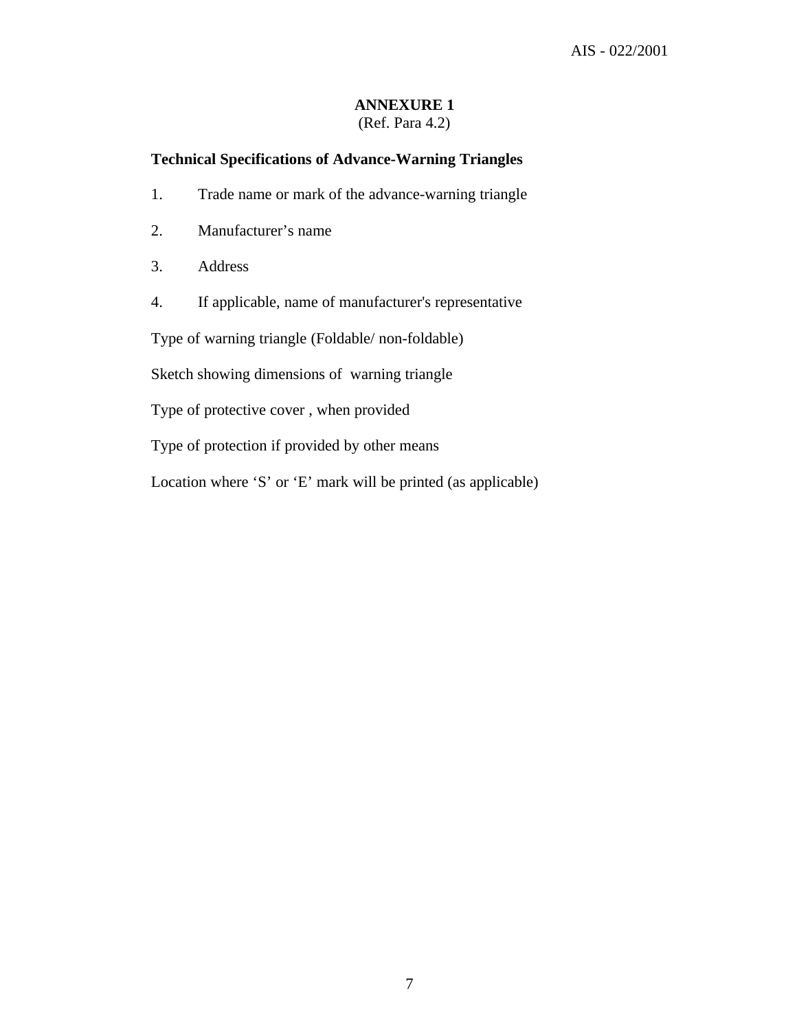# **ANNEXURE 1**

## (Ref. Para 4.2)

## **Technical Specifications of Advance-Warning Triangles**

- 1. Trade name or mark of the advance-warning triangle
- 2. Manufacturer's name
- 3. Address
- 4. If applicable, name of manufacturer's representative

Type of warning triangle (Foldable/ non-foldable)

Sketch showing dimensions of warning triangle

Type of protective cover , when provided

Type of protection if provided by other means

Location where 'S' or 'E' mark will be printed (as applicable)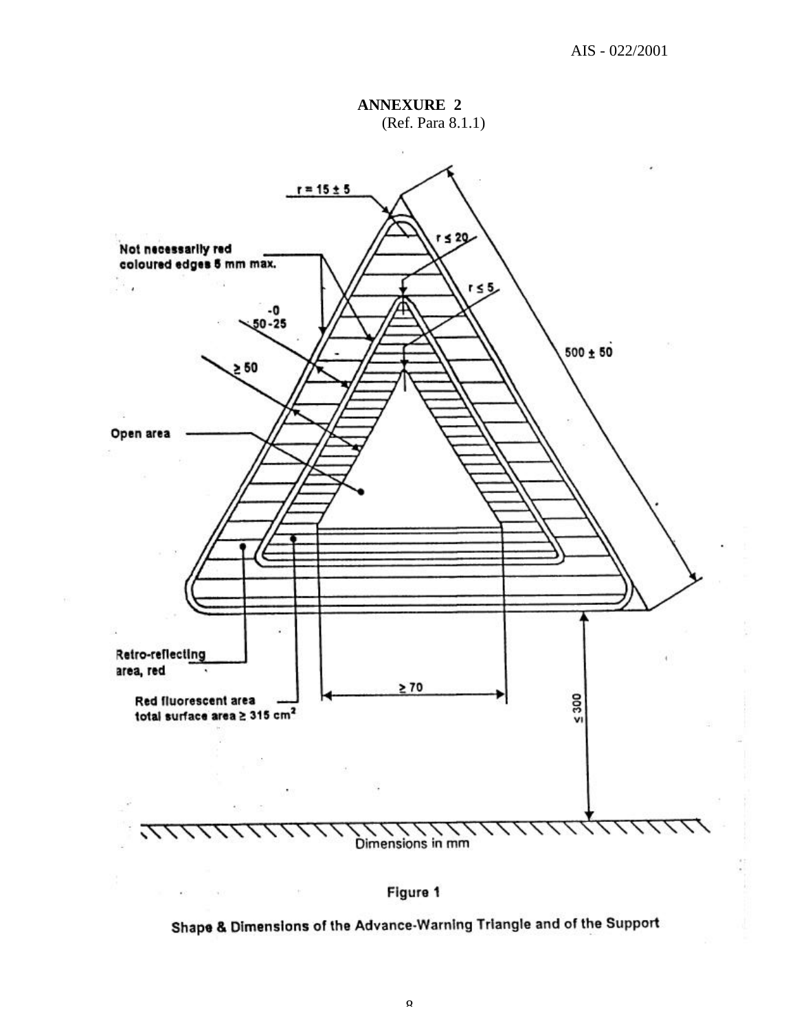**ANNEXURE 2** (Ref. Para 8.1.1)



Figure 1

 $\langle \uparrow \rangle$ 

 $\mathcal{L}(\cdot)$ 

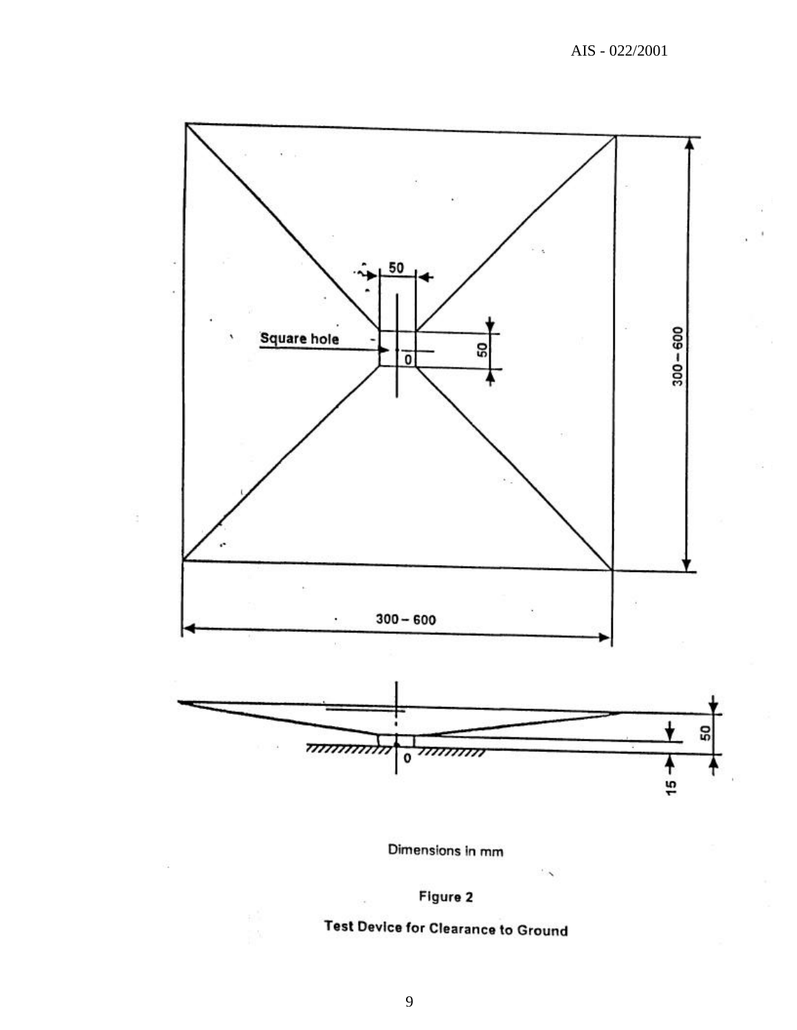

Dimensions in mm



# **Test Device for Clearance to Ground**

9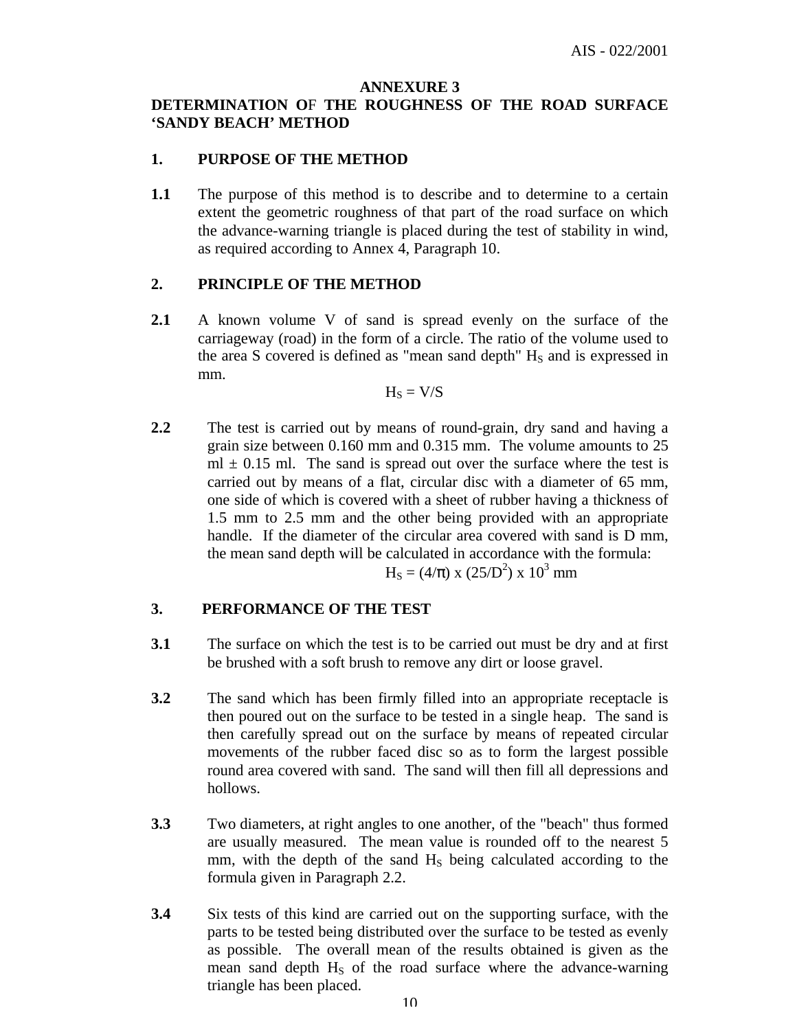#### **ANNEXURE 3**

## **DETERMINATION O**F **THE ROUGHNESS OF THE ROAD SURFACE 'SANDY BEACH' METHOD**

#### **1. PURPOSE OF THE METHOD**

**1.1** The purpose of this method is to describe and to determine to a certain extent the geometric roughness of that part of the road surface on which the advance-warning triangle is placed during the test of stability in wind, as required according to Annex 4, Paragraph 10.

#### **2. PRINCIPLE OF THE METHOD**

**2.1** A known volume V of sand is spread evenly on the surface of the carriageway (road) in the form of a circle. The ratio of the volume used to the area S covered is defined as "mean sand depth"  $H<sub>S</sub>$  and is expressed in mm.

$$
H_S = V\hspace{-0.1cm}\mathbin{/}\hspace{-0.07cm} S
$$

**2.2** The test is carried out by means of round-grain, dry sand and having a grain size between 0.160 mm and 0.315 mm. The volume amounts to 25  $ml \pm 0.15$  ml. The sand is spread out over the surface where the test is carried out by means of a flat, circular disc with a diameter of 65 mm, one side of which is covered with a sheet of rubber having a thickness of 1.5 mm to 2.5 mm and the other being provided with an appropriate handle. If the diameter of the circular area covered with sand is D mm, the mean sand depth will be calculated in accordance with the formula:  $H<sub>S</sub> = (4/\pi) \times (25/D<sup>2</sup>) \times 10<sup>3</sup>$  mm

#### **3. PERFORMANCE OF THE TEST**

- **3.1** The surface on which the test is to be carried out must be dry and at first be brushed with a soft brush to remove any dirt or loose gravel.
- **3.2** The sand which has been firmly filled into an appropriate receptacle is then poured out on the surface to be tested in a single heap. The sand is then carefully spread out on the surface by means of repeated circular movements of the rubber faced disc so as to form the largest possible round area covered with sand. The sand will then fill all depressions and hollows.
- **3.3** Two diameters, at right angles to one another, of the "beach" thus formed are usually measured. The mean value is rounded off to the nearest 5 mm, with the depth of the sand  $H<sub>S</sub>$  being calculated according to the formula given in Paragraph 2.2.
- **3.4** Six tests of this kind are carried out on the supporting surface, with the parts to be tested being distributed over the surface to be tested as evenly as possible. The overall mean of the results obtained is given as the mean sand depth  $H<sub>S</sub>$  of the road surface where the advance-warning triangle has been placed.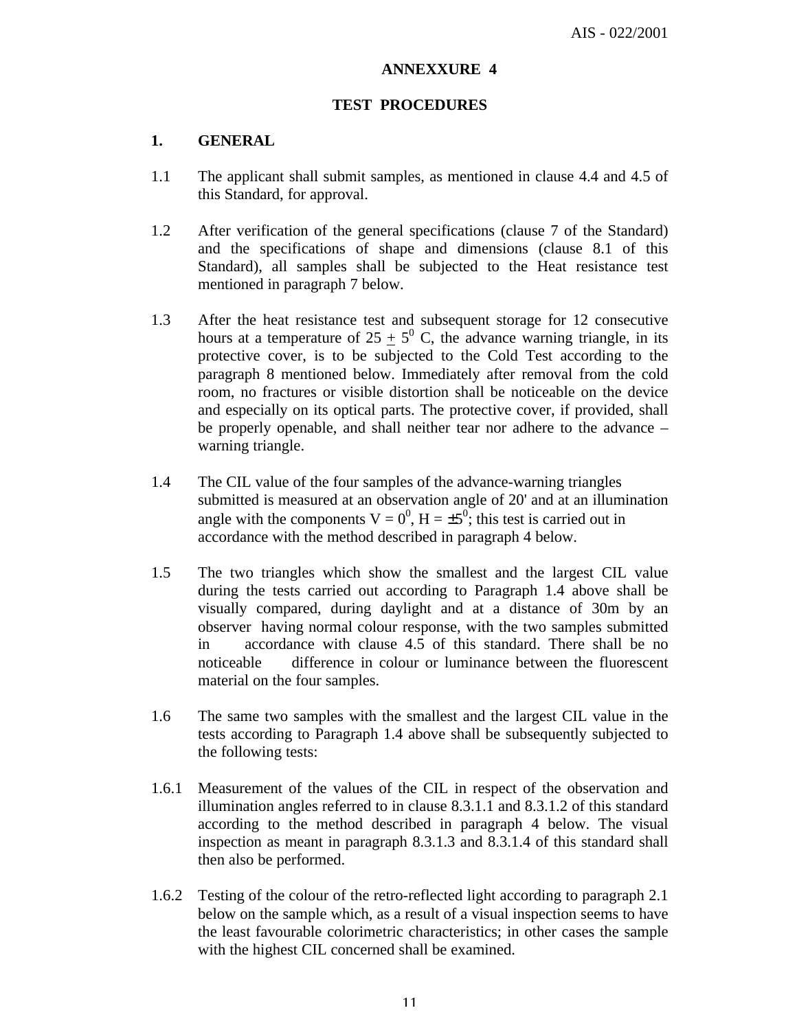#### **ANNEXXURE 4**

#### **TEST PROCEDURES**

## **1. GENERAL**

- 1.1 The applicant shall submit samples, as mentioned in clause 4.4 and 4.5 of this Standard, for approval.
- 1.2 After verification of the general specifications (clause 7 of the Standard) and the specifications of shape and dimensions (clause 8.1 of this Standard), all samples shall be subjected to the Heat resistance test mentioned in paragraph 7 below.
- 1.3 After the heat resistance test and subsequent storage for 12 consecutive hours at a temperature of  $25 \pm 5^{\circ}$  C, the advance warning triangle, in its protective cover, is to be subjected to the Cold Test according to the paragraph 8 mentioned below. Immediately after removal from the cold room, no fractures or visible distortion shall be noticeable on the device and especially on its optical parts. The protective cover, if provided, shall be properly openable, and shall neither tear nor adhere to the advance – warning triangle.
- 1.4 The CIL value of the four samples of the advance-warning triangles submitted is measured at an observation angle of 20' and at an illumination angle with the components  $V = 0^0$ ,  $H = \pm 5^0$ ; this test is carried out in accordance with the method described in paragraph 4 below.
- 1.5 The two triangles which show the smallest and the largest CIL value during the tests carried out according to Paragraph 1.4 above shall be visually compared, during daylight and at a distance of 30m by an observer having normal colour response, with the two samples submitted in accordance with clause 4.5 of this standard. There shall be no noticeable difference in colour or luminance between the fluorescent material on the four samples.
- 1.6 The same two samples with the smallest and the largest CIL value in the tests according to Paragraph 1.4 above shall be subsequently subjected to the following tests:
- 1.6.1 Measurement of the values of the CIL in respect of the observation and illumination angles referred to in clause 8.3.1.1 and 8.3.1.2 of this standard according to the method described in paragraph 4 below. The visual inspection as meant in paragraph 8.3.1.3 and 8.3.1.4 of this standard shall then also be performed.
- 1.6.2 Testing of the colour of the retro-reflected light according to paragraph 2.1 below on the sample which, as a result of a visual inspection seems to have the least favourable colorimetric characteristics; in other cases the sample with the highest CIL concerned shall be examined.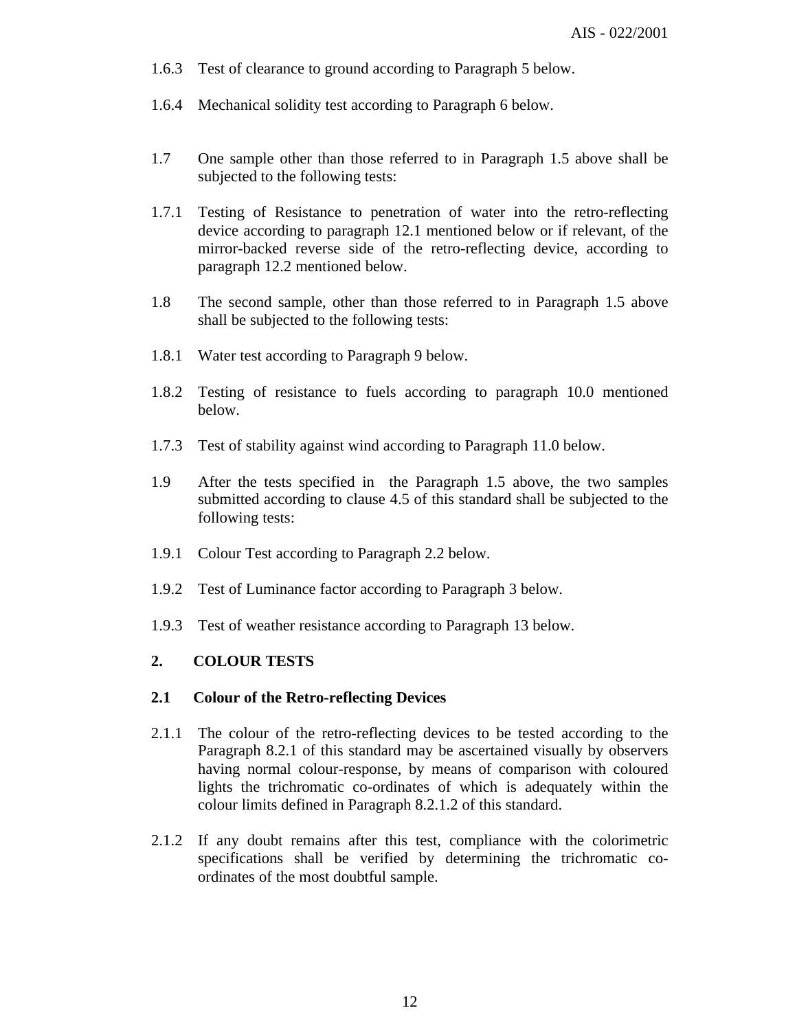- 1.6.3 Test of clearance to ground according to Paragraph 5 below.
- 1.6.4 Mechanical solidity test according to Paragraph 6 below.
- 1.7 One sample other than those referred to in Paragraph 1.5 above shall be subjected to the following tests:
- 1.7.1 Testing of Resistance to penetration of water into the retro-reflecting device according to paragraph 12.1 mentioned below or if relevant, of the mirror-backed reverse side of the retro-reflecting device, according to paragraph 12.2 mentioned below.
- 1.8 The second sample, other than those referred to in Paragraph 1.5 above shall be subjected to the following tests:
- 1.8.1 Water test according to Paragraph 9 below.
- 1.8.2 Testing of resistance to fuels according to paragraph 10.0 mentioned below.
- 1.7.3 Test of stability against wind according to Paragraph 11.0 below.
- 1.9 After the tests specified in the Paragraph 1.5 above, the two samples submitted according to clause 4.5 of this standard shall be subjected to the following tests:
- 1.9.1 Colour Test according to Paragraph 2.2 below.
- 1.9.2 Test of Luminance factor according to Paragraph 3 below.
- 1.9.3 Test of weather resistance according to Paragraph 13 below.

## **2. COLOUR TESTS**

## **2.1 Colour of the Retro-reflecting Devices**

- 2.1.1 The colour of the retro-reflecting devices to be tested according to the Paragraph 8.2.1 of this standard may be ascertained visually by observers having normal colour-response, by means of comparison with coloured lights the trichromatic co-ordinates of which is adequately within the colour limits defined in Paragraph 8.2.1.2 of this standard.
- 2.1.2 If any doubt remains after this test, compliance with the colorimetric specifications shall be verified by determining the trichromatic coordinates of the most doubtful sample.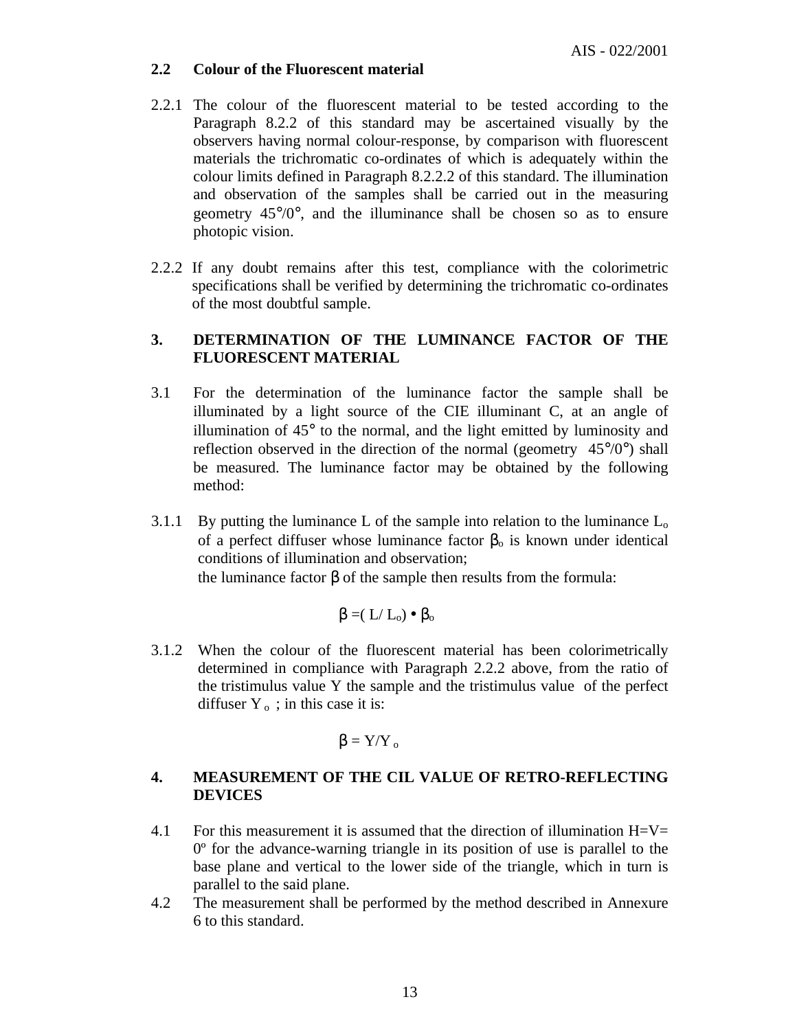#### **2.2 Colour of the Fluorescent material**

- 2.2.1 The colour of the fluorescent material to be tested according to the Paragraph 8.2.2 of this standard may be ascertained visually by the observers having normal colour-response, by comparison with fluorescent materials the trichromatic co-ordinates of which is adequately within the colour limits defined in Paragraph 8.2.2.2 of this standard. The illumination and observation of the samples shall be carried out in the measuring geometry 45°/0°, and the illuminance shall be chosen so as to ensure photopic vision.
- 2.2.2 If any doubt remains after this test, compliance with the colorimetric specifications shall be verified by determining the trichromatic co-ordinates of the most doubtful sample.

## **3. DETERMINATION OF THE LUMINANCE FACTOR OF THE FLUORESCENT MATERIAL**

- 3.1 For the determination of the luminance factor the sample shall be illuminated by a light source of the CIE illuminant C, at an angle of illumination of 45° to the normal, and the light emitted by luminosity and reflection observed in the direction of the normal (geometry  $45^{\circ}/0^{\circ}$ ) shall be measured. The luminance factor may be obtained by the following method:
- 3.1.1 By putting the luminance L of the sample into relation to the luminance  $L_0$ of a perfect diffuser whose luminance factor  $\beta_0$  is known under identical conditions of illumination and observation; the luminance factor  $β$  of the sample then results from the formula:

$$
\beta = \! (\, L/\, L_o) \bullet \, \beta_o
$$

3.1.2 When the colour of the fluorescent material has been colorimetrically determined in compliance with Paragraph 2.2.2 above, from the ratio of the tristimulus value Y the sample and the tristimulus value of the perfect diffuser  $Y_0$ ; in this case it is:

$$
\beta = Y/Y_{o}
$$

## **4. MEASUREMENT OF THE CIL VALUE OF RETRO-REFLECTING DEVICES**

- 4.1 For this measurement it is assumed that the direction of illumination  $H=V=$ 0º for the advance-warning triangle in its position of use is parallel to the base plane and vertical to the lower side of the triangle, which in turn is parallel to the said plane.
- 4.2 The measurement shall be performed by the method described in Annexure 6 to this standard.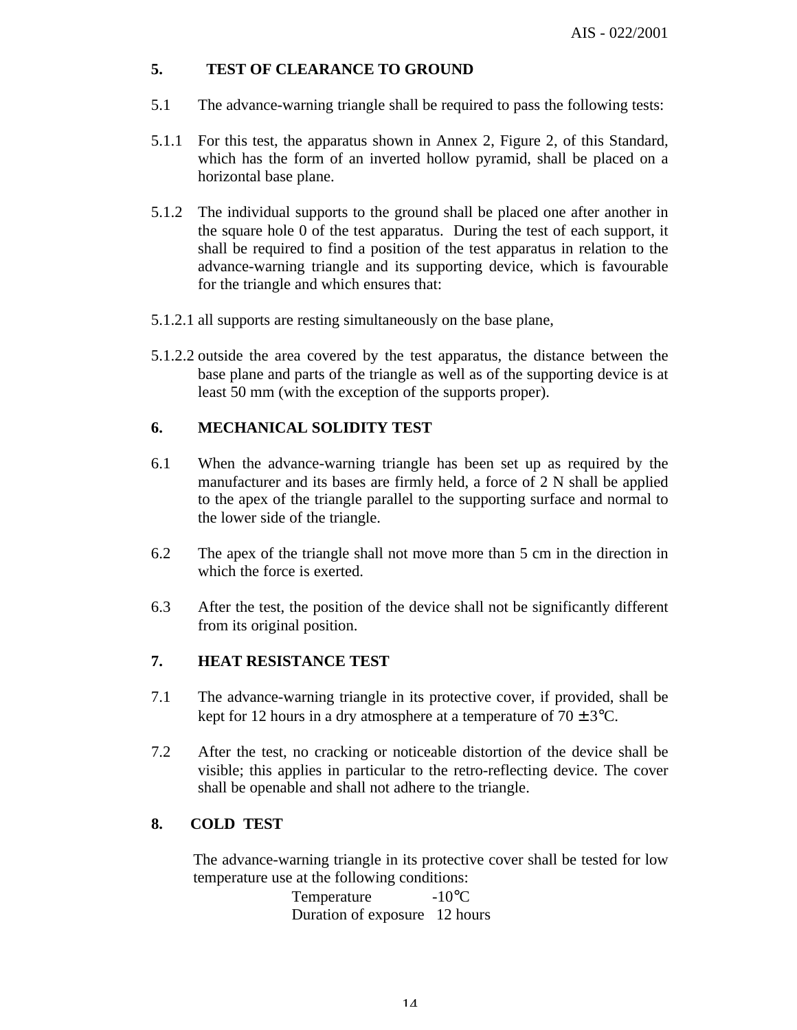## **5. TEST OF CLEARANCE TO GROUND**

- 5.1 The advance-warning triangle shall be required to pass the following tests:
- 5.1.1 For this test, the apparatus shown in Annex 2, Figure 2, of this Standard, which has the form of an inverted hollow pyramid, shall be placed on a horizontal base plane.
- 5.1.2 The individual supports to the ground shall be placed one after another in the square hole 0 of the test apparatus. During the test of each support, it shall be required to find a position of the test apparatus in relation to the advance-warning triangle and its supporting device, which is favourable for the triangle and which ensures that:
- 5.1.2.1 all supports are resting simultaneously on the base plane,
- 5.1.2.2 outside the area covered by the test apparatus, the distance between the base plane and parts of the triangle as well as of the supporting device is at least 50 mm (with the exception of the supports proper).

## **6. MECHANICAL SOLIDITY TEST**

- 6.1 When the advance-warning triangle has been set up as required by the manufacturer and its bases are firmly held, a force of 2 N shall be applied to the apex of the triangle parallel to the supporting surface and normal to the lower side of the triangle.
- 6.2 The apex of the triangle shall not move more than 5 cm in the direction in which the force is exerted.
- 6.3 After the test, the position of the device shall not be significantly different from its original position.

## **7. HEAT RESISTANCE TEST**

- 7.1 The advance-warning triangle in its protective cover, if provided, shall be kept for 12 hours in a dry atmosphere at a temperature of  $70 \pm 3$ °C.
- 7.2 After the test, no cracking or noticeable distortion of the device shall be visible; this applies in particular to the retro-reflecting device. The cover shall be openable and shall not adhere to the triangle.

## **8. COLD TEST**

The advance-warning triangle in its protective cover shall be tested for low temperature use at the following conditions:

Temperature -10<sup>o</sup>C Duration of exposure 12 hours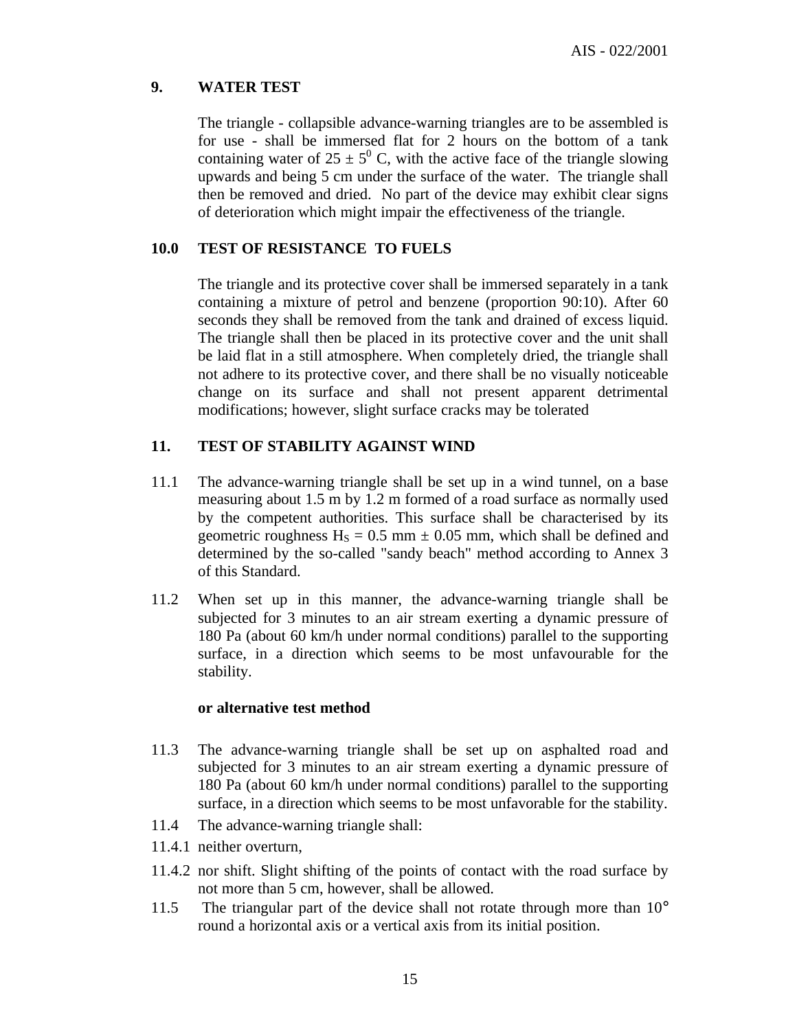## **9. WATER TEST**

The triangle - collapsible advance-warning triangles are to be assembled is for use - shall be immersed flat for 2 hours on the bottom of a tank containing water of  $25 \pm 5^{\circ}$  C, with the active face of the triangle slowing upwards and being 5 cm under the surface of the water. The triangle shall then be removed and dried. No part of the device may exhibit clear signs of deterioration which might impair the effectiveness of the triangle.

#### **10.0 TEST OF RESISTANCE TO FUELS**

The triangle and its protective cover shall be immersed separately in a tank containing a mixture of petrol and benzene (proportion 90:10). After 60 seconds they shall be removed from the tank and drained of excess liquid. The triangle shall then be placed in its protective cover and the unit shall be laid flat in a still atmosphere. When completely dried, the triangle shall not adhere to its protective cover, and there shall be no visually noticeable change on its surface and shall not present apparent detrimental modifications; however, slight surface cracks may be tolerated

#### **11. TEST OF STABILITY AGAINST WIND**

- 11.1 The advance-warning triangle shall be set up in a wind tunnel, on a base measuring about 1.5 m by 1.2 m formed of a road surface as normally used by the competent authorities. This surface shall be characterised by its geometric roughness  $H<sub>S</sub> = 0.5$  mm  $\pm$  0.05 mm, which shall be defined and determined by the so-called "sandy beach" method according to Annex 3 of this Standard.
- 11.2 When set up in this manner, the advance-warning triangle shall be subjected for 3 minutes to an air stream exerting a dynamic pressure of 180 Pa (about 60 km/h under normal conditions) parallel to the supporting surface, in a direction which seems to be most unfavourable for the stability.

#### **or alternative test method**

- 11.3 The advance-warning triangle shall be set up on asphalted road and subjected for 3 minutes to an air stream exerting a dynamic pressure of 180 Pa (about 60 km/h under normal conditions) parallel to the supporting surface, in a direction which seems to be most unfavorable for the stability.
- 11.4 The advance-warning triangle shall:
- 11.4.1 neither overturn,
- 11.4.2 nor shift. Slight shifting of the points of contact with the road surface by not more than 5 cm, however, shall be allowed.
- 11.5 The triangular part of the device shall not rotate through more than 10° round a horizontal axis or a vertical axis from its initial position.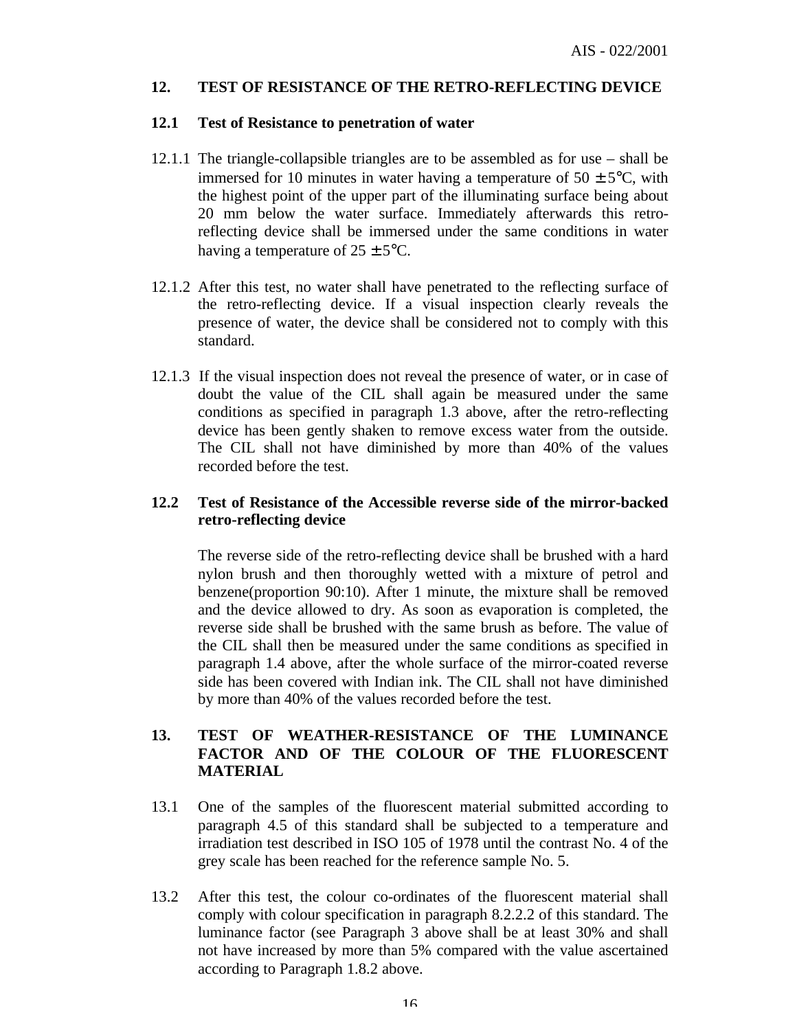#### **12. TEST OF RESISTANCE OF THE RETRO-REFLECTING DEVICE**

#### **12.1 Test of Resistance to penetration of water**

- 12.1.1 The triangle-collapsible triangles are to be assembled as for use shall be immersed for 10 minutes in water having a temperature of  $50 \pm 5^{\circ}$ C, with the highest point of the upper part of the illuminating surface being about 20 mm below the water surface. Immediately afterwards this retroreflecting device shall be immersed under the same conditions in water having a temperature of  $25 \pm 5^{\circ}$ C.
- 12.1.2 After this test, no water shall have penetrated to the reflecting surface of the retro-reflecting device. If a visual inspection clearly reveals the presence of water, the device shall be considered not to comply with this standard.
- 12.1.3 If the visual inspection does not reveal the presence of water, or in case of doubt the value of the CIL shall again be measured under the same conditions as specified in paragraph 1.3 above, after the retro-reflecting device has been gently shaken to remove excess water from the outside. The CIL shall not have diminished by more than 40% of the values recorded before the test.

## **12.2 Test of Resistance of the Accessible reverse side of the mirror-backed retro-reflecting device**

The reverse side of the retro-reflecting device shall be brushed with a hard nylon brush and then thoroughly wetted with a mixture of petrol and benzene(proportion 90:10). After 1 minute, the mixture shall be removed and the device allowed to dry. As soon as evaporation is completed, the reverse side shall be brushed with the same brush as before. The value of the CIL shall then be measured under the same conditions as specified in paragraph 1.4 above, after the whole surface of the mirror-coated reverse side has been covered with Indian ink. The CIL shall not have diminished by more than 40% of the values recorded before the test.

## **13. TEST OF WEATHER-RESISTANCE OF THE LUMINANCE FACTOR AND OF THE COLOUR OF THE FLUORESCENT MATERIAL**

- 13.1 One of the samples of the fluorescent material submitted according to paragraph 4.5 of this standard shall be subjected to a temperature and irradiation test described in ISO 105 of 1978 until the contrast No. 4 of the grey scale has been reached for the reference sample No. 5.
- 13.2 After this test, the colour co-ordinates of the fluorescent material shall comply with colour specification in paragraph 8.2.2.2 of this standard. The luminance factor (see Paragraph 3 above shall be at least 30% and shall not have increased by more than 5% compared with the value ascertained according to Paragraph 1.8.2 above.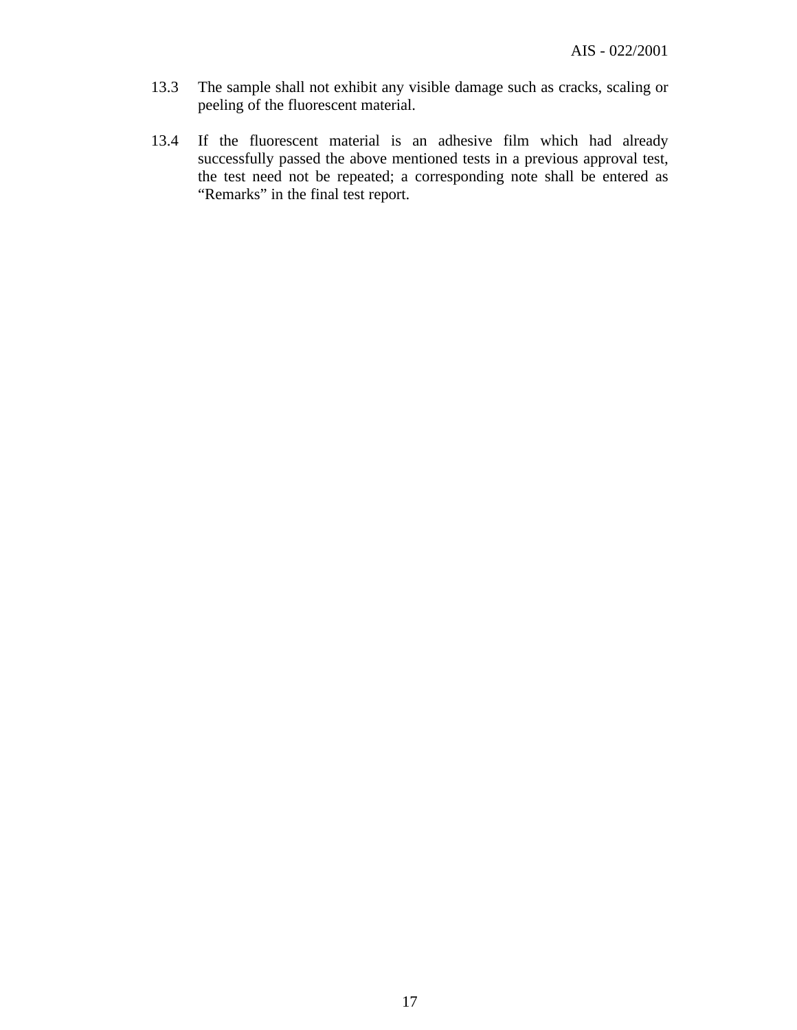- 13.3 The sample shall not exhibit any visible damage such as cracks, scaling or peeling of the fluorescent material.
- 13.4 If the fluorescent material is an adhesive film which had already successfully passed the above mentioned tests in a previous approval test, the test need not be repeated; a corresponding note shall be entered as "Remarks" in the final test report.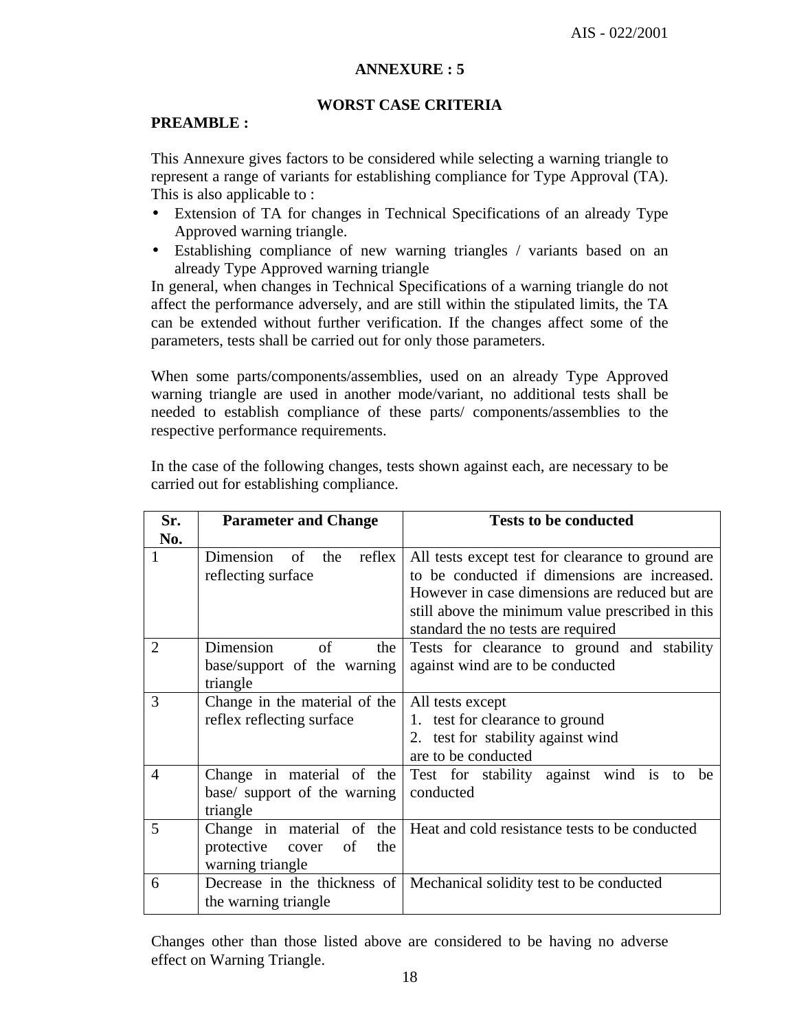#### **ANNEXURE : 5**

#### **WORST CASE CRITERIA**

#### **PREAMBLE :**

This Annexure gives factors to be considered while selecting a warning triangle to represent a range of variants for establishing compliance for Type Approval (TA). This is also applicable to :

- Extension of TA for changes in Technical Specifications of an already Type Approved warning triangle.
- Establishing compliance of new warning triangles / variants based on an already Type Approved warning triangle

In general, when changes in Technical Specifications of a warning triangle do not affect the performance adversely, and are still within the stipulated limits, the TA can be extended without further verification. If the changes affect some of the parameters, tests shall be carried out for only those parameters.

When some parts/components/assemblies, used on an already Type Approved warning triangle are used in another mode/variant, no additional tests shall be needed to establish compliance of these parts/ components/assemblies to the respective performance requirements.

In the case of the following changes, tests shown against each, are necessary to be carried out for establishing compliance.

| Sr.            | <b>Parameter and Change</b>                                                          | <b>Tests to be conducted</b>                                                                                                                                                                                                                  |
|----------------|--------------------------------------------------------------------------------------|-----------------------------------------------------------------------------------------------------------------------------------------------------------------------------------------------------------------------------------------------|
| No.            |                                                                                      |                                                                                                                                                                                                                                               |
| $\mathbf{1}$   | Dimension of the<br>reflex<br>reflecting surface                                     | All tests except test for clearance to ground are<br>to be conducted if dimensions are increased.<br>However in case dimensions are reduced but are<br>still above the minimum value prescribed in this<br>standard the no tests are required |
| $\overline{2}$ | Dimension<br>of<br>the<br>base/support of the warning<br>triangle                    | Tests for clearance to ground and stability<br>against wind are to be conducted                                                                                                                                                               |
| 3              | Change in the material of the<br>reflex reflecting surface                           | All tests except<br>1. test for clearance to ground<br>2. test for stability against wind<br>are to be conducted                                                                                                                              |
| $\overline{4}$ | Change in material of the<br>base/ support of the warning<br>triangle                | Test for stability against wind is<br>be<br>to<br>conducted                                                                                                                                                                                   |
| 5              | Change in material of<br>the<br>protective<br>of<br>the<br>cover<br>warning triangle | Heat and cold resistance tests to be conducted                                                                                                                                                                                                |
| 6              | Decrease in the thickness of<br>the warning triangle                                 | Mechanical solidity test to be conducted                                                                                                                                                                                                      |

Changes other than those listed above are considered to be having no adverse effect on Warning Triangle.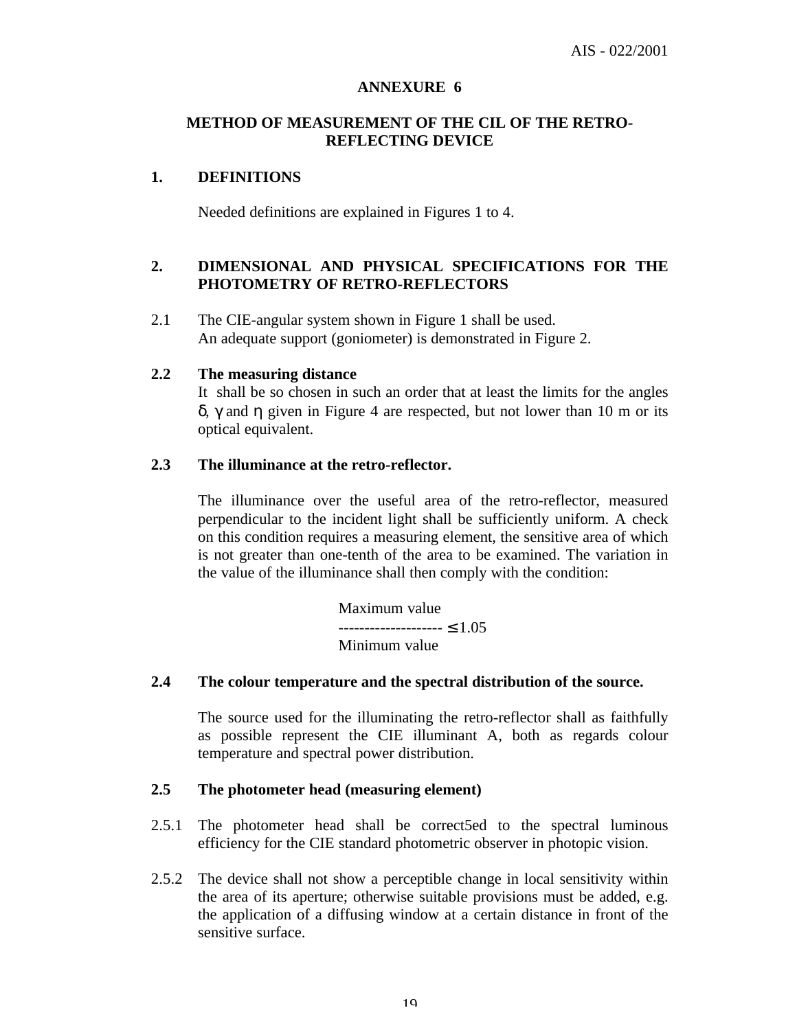#### **ANNEXURE 6**

#### **METHOD OF MEASUREMENT OF THE CIL OF THE RETRO-REFLECTING DEVICE**

#### **1. DEFINITIONS**

Needed definitions are explained in Figures 1 to 4.

#### **2. DIMENSIONAL AND PHYSICAL SPECIFICATIONS FOR THE PHOTOMETRY OF RETRO-REFLECTORS**

2.1 The CIE-angular system shown in Figure 1 shall be used. An adequate support (goniometer) is demonstrated in Figure 2.

#### **2.2 The measuring distance**

It shall be so chosen in such an order that at least the limits for the angles δ, γ and η given in Figure 4 are respected, but not lower than 10 m or its optical equivalent.

#### **2.3 The illuminance at the retro-reflector.**

The illuminance over the useful area of the retro-reflector, measured perpendicular to the incident light shall be sufficiently uniform. A check on this condition requires a measuring element, the sensitive area of which is not greater than one-tenth of the area to be examined. The variation in the value of the illuminance shall then comply with the condition:

> Maximum value -------------------- ≤ 1.05 Minimum value

#### **2.4 The colour temperature and the spectral distribution of the source.**

The source used for the illuminating the retro-reflector shall as faithfully as possible represent the CIE illuminant A, both as regards colour temperature and spectral power distribution.

## **2.5 The photometer head (measuring element)**

- 2.5.1 The photometer head shall be correct5ed to the spectral luminous efficiency for the CIE standard photometric observer in photopic vision.
- 2.5.2 The device shall not show a perceptible change in local sensitivity within the area of its aperture; otherwise suitable provisions must be added, e.g. the application of a diffusing window at a certain distance in front of the sensitive surface.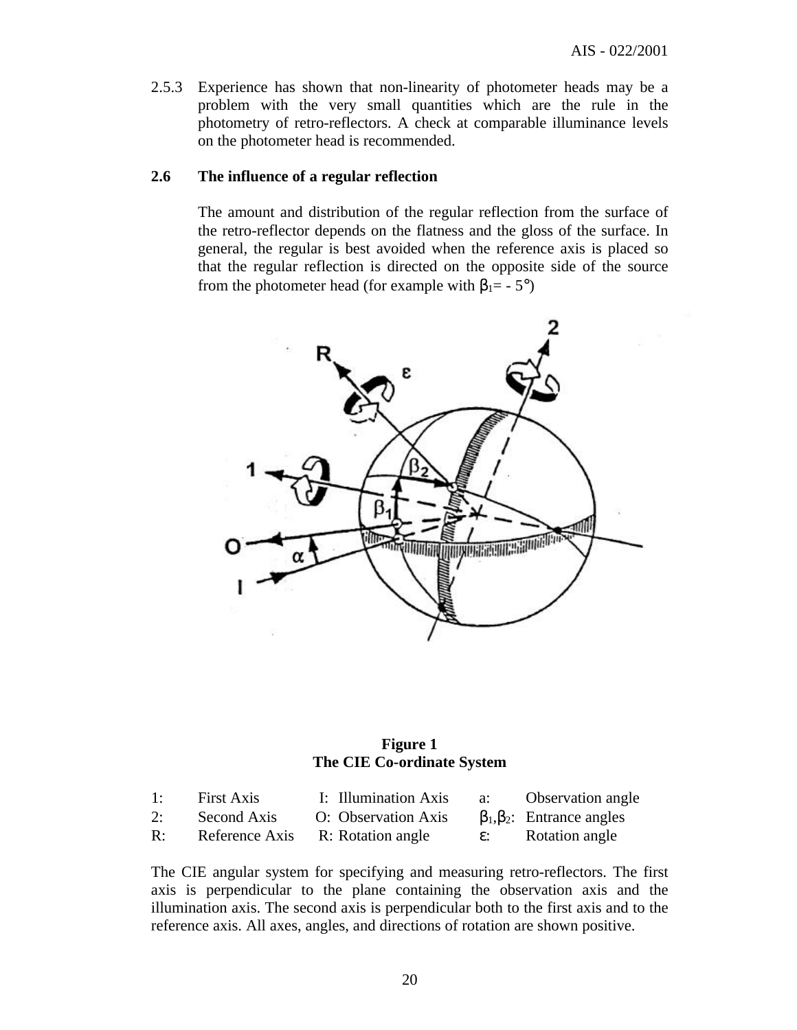2.5.3 Experience has shown that non-linearity of photometer heads may be a problem with the very small quantities which are the rule in the photometry of retro-reflectors. A check at comparable illuminance levels on the photometer head is recommended.

#### **2.6 The influence of a regular reflection**

The amount and distribution of the regular reflection from the surface of the retro-reflector depends on the flatness and the gloss of the surface. In general, the regular is best avoided when the reference axis is placed so that the regular reflection is directed on the opposite side of the source from the photometer head (for example with  $\beta_1 = -5^\circ$ )



#### **Figure 1 The CIE Co-ordinate System**

| 1:             | <b>First Axis</b> | I: Illumination Axis | a:              | <b>Observation</b> angle             |
|----------------|-------------------|----------------------|-----------------|--------------------------------------|
| 2:             | Second Axis       | O: Observation Axis  |                 | $\beta_1, \beta_2$ : Entrance angles |
| $\mathbb{R}$ : | Reference Axis    | R: Rotation angle    | $\varepsilon$ : | Rotation angle                       |

The CIE angular system for specifying and measuring retro-reflectors. The first axis is perpendicular to the plane containing the observation axis and the illumination axis. The second axis is perpendicular both to the first axis and to the reference axis. All axes, angles, and directions of rotation are shown positive.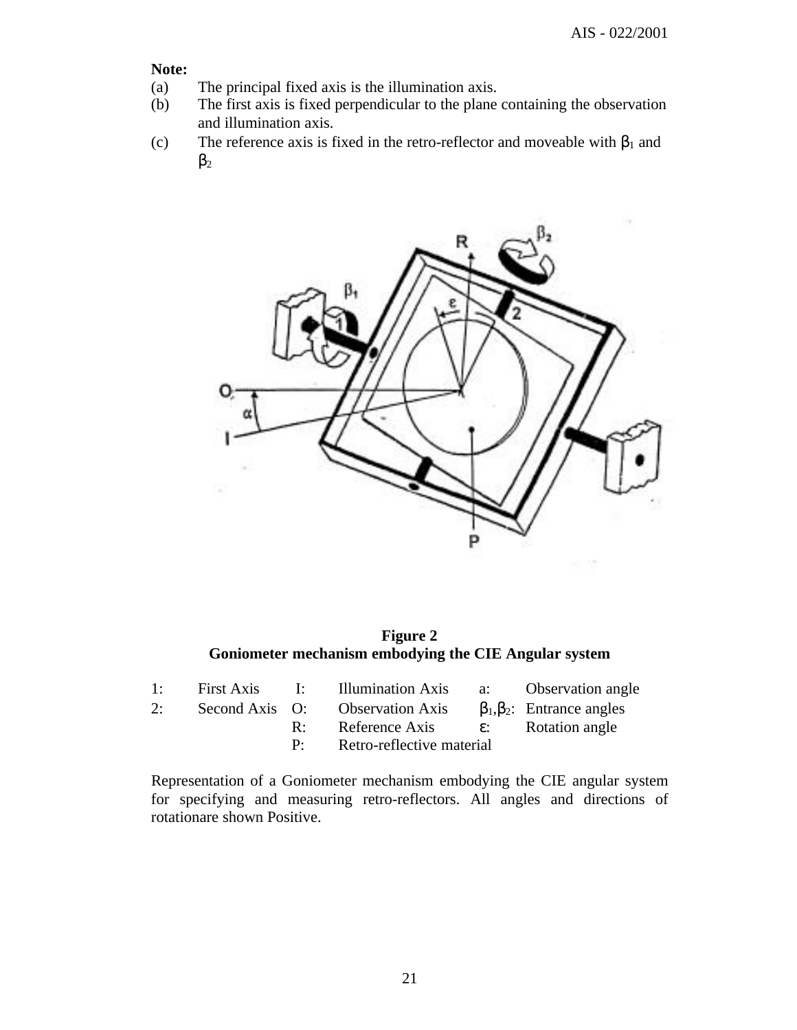**Note:**

- (a) The principal fixed axis is the illumination axis.
- (b) The first axis is fixed perpendicular to the plane containing the observation and illumination axis.
- (c) The reference axis is fixed in the retro-reflector and moveable with  $\beta_1$  and  $\beta_2$



**Figure 2 Goniometer mechanism embodying the CIE Angular system**

|    |  | 1: First Axis I: Illumination Axis a: Observation angle              |  |
|----|--|----------------------------------------------------------------------|--|
| 2: |  | Second Axis O: Observation Axis $\beta_1, \beta_2$ : Entrance angles |  |
|    |  | R: Reference Axis $\varepsilon$ : Rotation angle                     |  |
|    |  | P: Retro-reflective material                                         |  |

Representation of a Goniometer mechanism embodying the CIE angular system for specifying and measuring retro-reflectors. All angles and directions of rotationare shown Positive.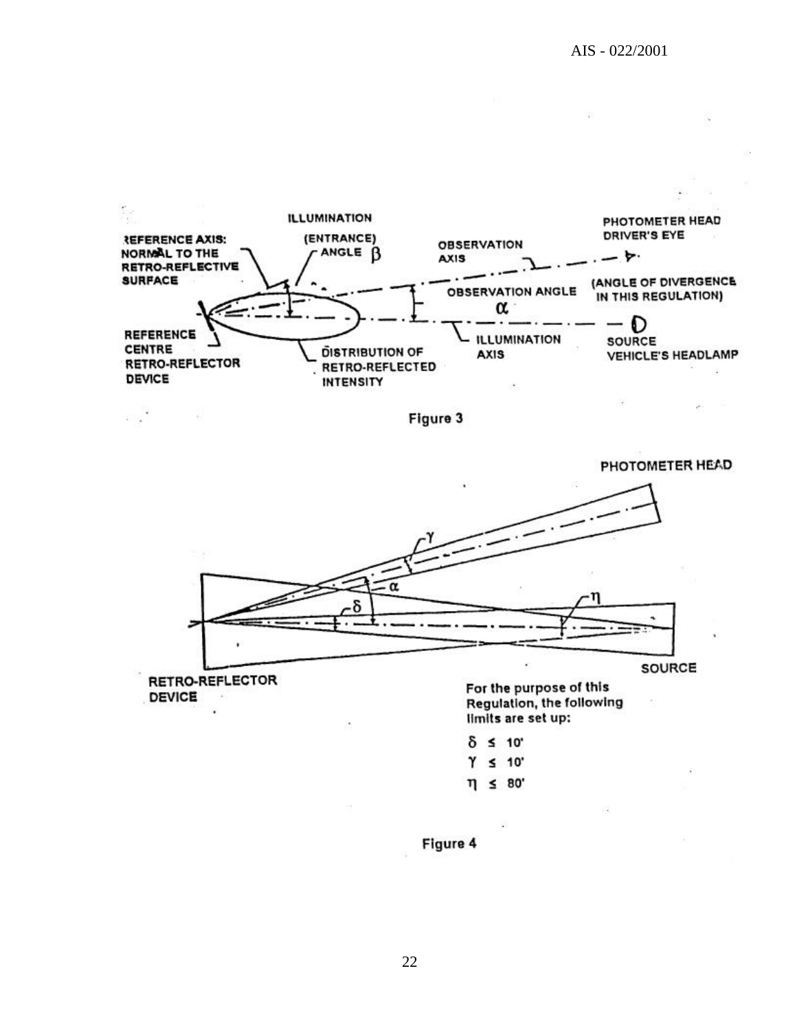

Figure 3



Regulation, the following limits are set up:

| C | ٠ | 10' |
|---|---|-----|
| ï |   | ï   |

- $Y \leq 10$
- $\eta \leq 80^\circ$

Figure 4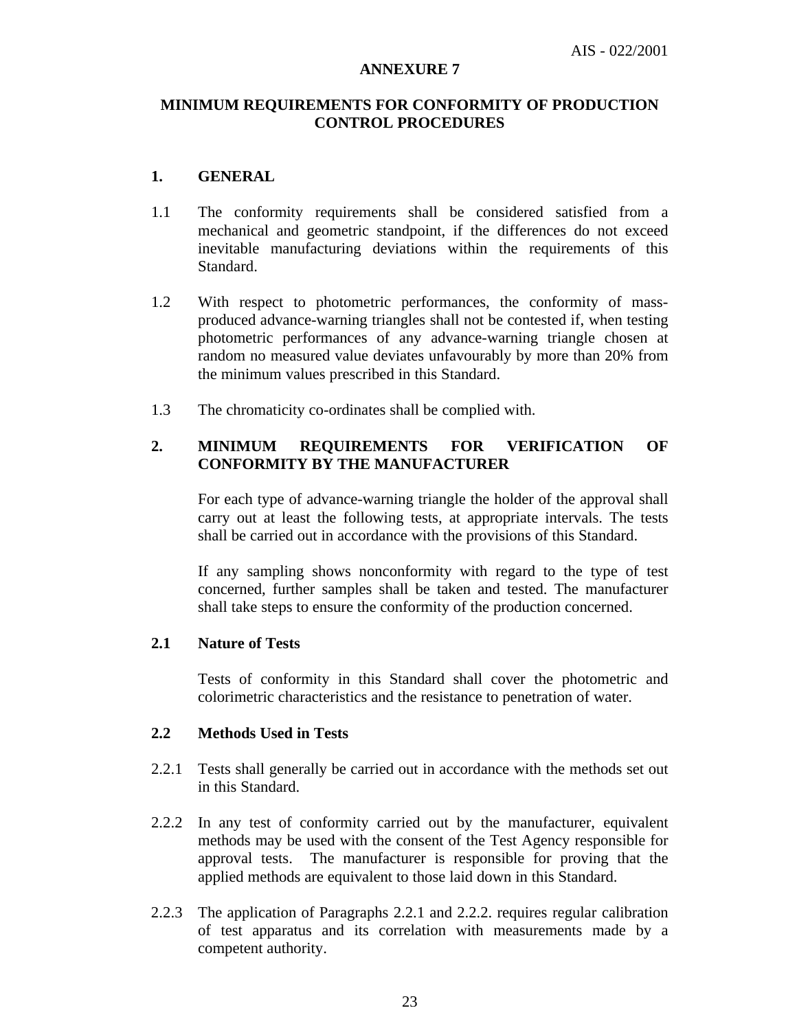#### **ANNEXURE 7**

## **MINIMUM REQUIREMENTS FOR CONFORMITY OF PRODUCTION CONTROL PROCEDURES**

## **1. GENERAL**

- 1.1 The conformity requirements shall be considered satisfied from a mechanical and geometric standpoint, if the differences do not exceed inevitable manufacturing deviations within the requirements of this Standard.
- 1.2 With respect to photometric performances, the conformity of massproduced advance-warning triangles shall not be contested if, when testing photometric performances of any advance-warning triangle chosen at random no measured value deviates unfavourably by more than 20% from the minimum values prescribed in this Standard.
- 1.3 The chromaticity co-ordinates shall be complied with.

## **2. MINIMUM REQUIREMENTS FOR VERIFICATION OF CONFORMITY BY THE MANUFACTURER**

For each type of advance-warning triangle the holder of the approval shall carry out at least the following tests, at appropriate intervals. The tests shall be carried out in accordance with the provisions of this Standard.

If any sampling shows nonconformity with regard to the type of test concerned, further samples shall be taken and tested. The manufacturer shall take steps to ensure the conformity of the production concerned.

## **2.1 Nature of Tests**

Tests of conformity in this Standard shall cover the photometric and colorimetric characteristics and the resistance to penetration of water.

#### **2.2 Methods Used in Tests**

- 2.2.1 Tests shall generally be carried out in accordance with the methods set out in this Standard.
- 2.2.2 In any test of conformity carried out by the manufacturer, equivalent methods may be used with the consent of the Test Agency responsible for approval tests. The manufacturer is responsible for proving that the applied methods are equivalent to those laid down in this Standard.
- 2.2.3 The application of Paragraphs 2.2.1 and 2.2.2. requires regular calibration of test apparatus and its correlation with measurements made by a competent authority.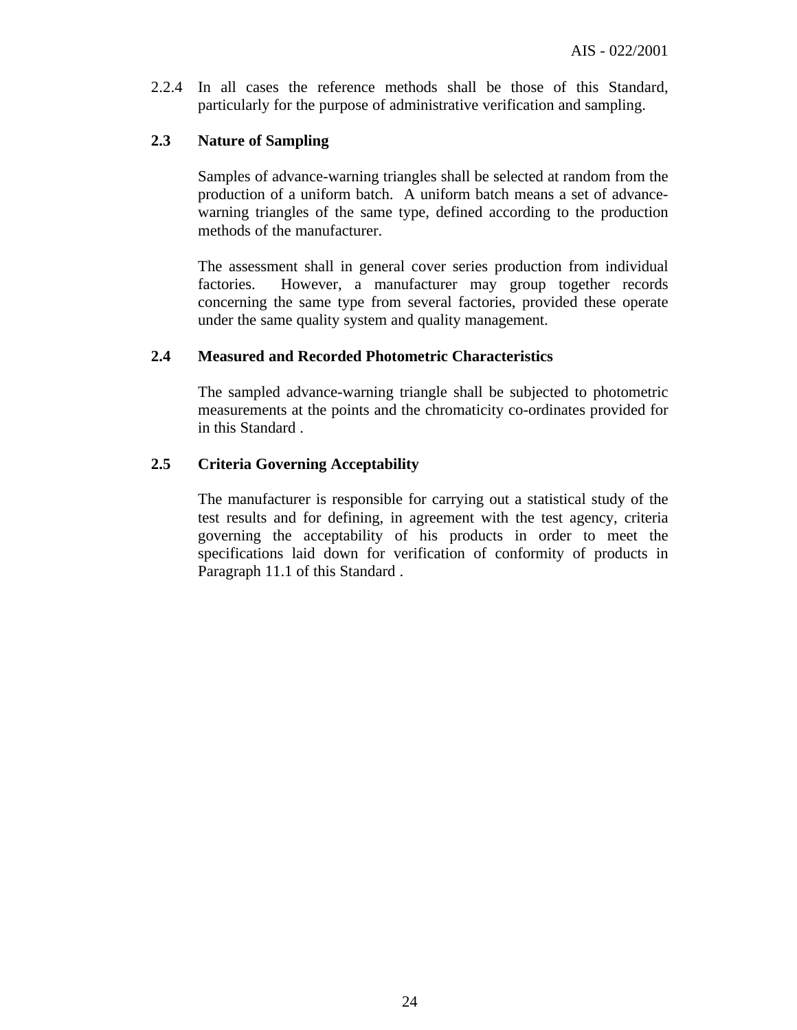2.2.4 In all cases the reference methods shall be those of this Standard, particularly for the purpose of administrative verification and sampling.

#### **2.3 Nature of Sampling**

Samples of advance-warning triangles shall be selected at random from the production of a uniform batch. A uniform batch means a set of advancewarning triangles of the same type, defined according to the production methods of the manufacturer.

The assessment shall in general cover series production from individual factories. However, a manufacturer may group together records concerning the same type from several factories, provided these operate under the same quality system and quality management.

#### **2.4 Measured and Recorded Photometric Characteristics**

The sampled advance-warning triangle shall be subjected to photometric measurements at the points and the chromaticity co-ordinates provided for in this Standard .

#### **2.5 Criteria Governing Acceptability**

The manufacturer is responsible for carrying out a statistical study of the test results and for defining, in agreement with the test agency, criteria governing the acceptability of his products in order to meet the specifications laid down for verification of conformity of products in Paragraph 11.1 of this Standard .